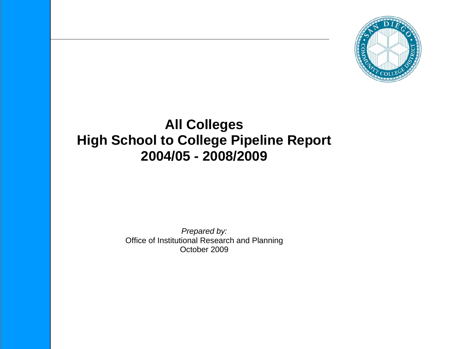

# **All Colleges High School to College Pipeline Report 2004/05 - 2008/2009**

*Prepared by:* Office of Institutional Research and Planning October 2009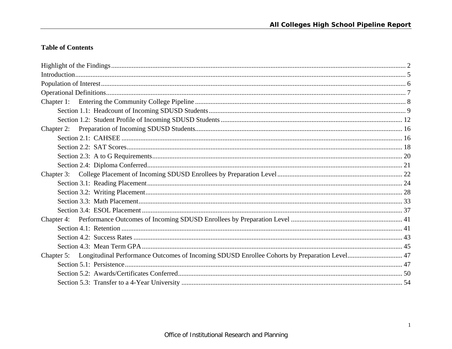# **Table of Contents**

| Chapter 5: Longitudinal Performance Outcomes of Incoming SDUSD Enrollee Cohorts by Preparation Level 47 |  |
|---------------------------------------------------------------------------------------------------------|--|
|                                                                                                         |  |
|                                                                                                         |  |
|                                                                                                         |  |
|                                                                                                         |  |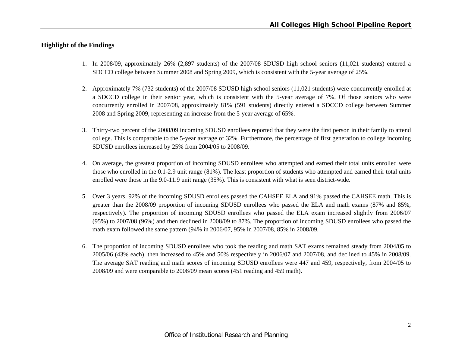#### **Highlight of the Findings**

- 1. In 2008/09, approximately 26% (2,897 students) of the 2007/08 SDUSD high school seniors (11,021 students) entered a SDCCD college between Summer 2008 and Spring 2009, which is consistent with the 5-year average of 25%.
- 2. Approximately 7% (732 students) of the 2007/08 SDUSD high school seniors (11,021 students) were concurrently enrolled at a SDCCD college in their senior year, which is consistent with the 5-year average of 7%. Of those seniors who were concurrently enrolled in 2007/08, approximately 81% (591 students) directly entered a SDCCD college between Summer 2008 and Spring 2009, representing an increase from the 5-year average of 65%.
- 3. Thirty-two percent of the 2008/09 incoming SDUSD enrollees reported that they were the first person in their family to attend college. This is comparable to the 5-year average of 32%. Furthermore, the percentage of first generation to college incoming SDUSD enrollees increased by 25% from 2004/05 to 2008/09.
- 4. On average, the greatest proportion of incoming SDUSD enrollees who attempted and earned their total units enrolled were those who enrolled in the 0.1-2.9 unit range (81%). The least proportion of students who attempted and earned their total units enrolled were those in the 9.0-11.9 unit range (35%). This is consistent with what is seen district-wide.
- 5. Over 3 years, 92% of the incoming SDUSD enrollees passed the CAHSEE ELA and 91% passed the CAHSEE math. This is greater than the 2008/09 proportion of incoming SDUSD enrollees who passed the ELA and math exams (87% and 85%, respectively). The proportion of incoming SDUSD enrollees who passed the ELA exam increased slightly from 2006/07 (95%) to 2007/08 (96%) and then declined in 2008/09 to 87%. The proportion of incoming SDUSD enrollees who passed the math exam followed the same pattern (94% in 2006/07, 95% in 2007/08, 85% in 2008/09.
- 6. The proportion of incoming SDUSD enrollees who took the reading and math SAT exams remained steady from 2004/05 to 2005/06 (43% each), then increased to 45% and 50% respectively in 2006/07 and 2007/08, and declined to 45% in 2008/09. The average SAT reading and math scores of incoming SDUSD enrollees were 447 and 459, respectively, from 2004/05 to 2008/09 and were comparable to 2008/09 mean scores (451 reading and 459 math).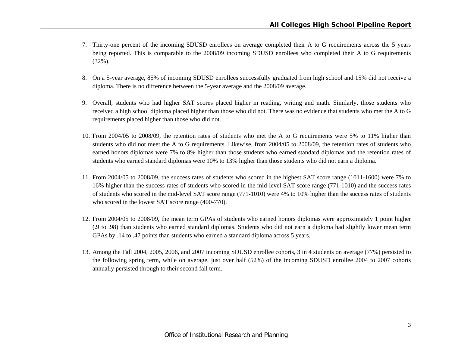- 7. Thirty-one percent of the incoming SDUSD enrollees on average completed their A to G requirements across the 5 years being reported. This is comparable to the 2008/09 incoming SDUSD enrollees who completed their A to G requirements (32%).
- 8. On a 5-year average, 85% of incoming SDUSD enrollees successfully graduated from high school and 15% did not receive a diploma. There is no difference between the 5-year average and the 2008/09 average.
- 9. Overall, students who had higher SAT scores placed higher in reading, writing and math. Similarly, those students who received a high school diploma placed higher than those who did not. There was no evidence that students who met the A to G requirements placed higher than those who did not.
- 10. From 2004/05 to 2008/09, the retention rates of students who met the A to G requirements were 5% to 11% higher than students who did not meet the A to G requirements. Likewise, from 2004/05 to 2008/09, the retention rates of students who earned honors diplomas were 7% to 8% higher than those students who earned standard diplomas and the retention rates of students who earned standard diplomas were 10% to 13% higher than those students who did not earn a diploma.
- 11. From 2004/05 to 2008/09, the success rates of students who scored in the highest SAT score range (1011-1600) were 7% to 16% higher than the success rates of students who scored in the mid-level SAT score range (771-1010) and the success rates of students who scored in the mid-level SAT score range (771-1010) were 4% to 10% higher than the success rates of students who scored in the lowest SAT score range (400-770).
- 12. From 2004/05 to 2008/09, the mean term GPAs of students who earned honors diplomas were approximately 1 point higher (.9 to .98) than students who earned standard diplomas. Students who did not earn a diploma had slightly lower mean term GPAs by .14 to .47 points than students who earned a standard diploma across 5 years.
- 13. Among the Fall 2004, 2005, 2006, and 2007 incoming SDUSD enrollee cohorts, 3 in 4 students on average (77%) persisted to the following spring term, while on average, just over half (52%) of the incoming SDUSD enrollee 2004 to 2007 cohorts annually persisted through to their second fall term.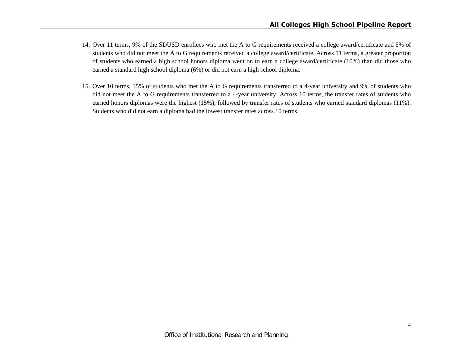- 14. Over 11 terms, 9% of the SDUSD enrollees who met the A to G requirements received a college award/certificate and 5% of students who did not meet the A to G requirements received a college award/certificate. Across 11 terms, a greater proportion of students who earned a high school honors diploma went on to earn a college award/certificate (10%) than did those who earned a standard high school diploma (6%) or did not earn a high school diploma.
- 15. Over 10 terms, 15% of students who met the A to G requirements transferred to a 4-year university and 9% of students who did not meet the A to G requirements transferred to a 4-year university. Across 10 terms, the transfer rates of students who earned honors diplomas were the highest (15%), followed by transfer rates of students who earned standard diplomas (11%). Students who did not earn a diploma had the lowest transfer rates across 10 terms.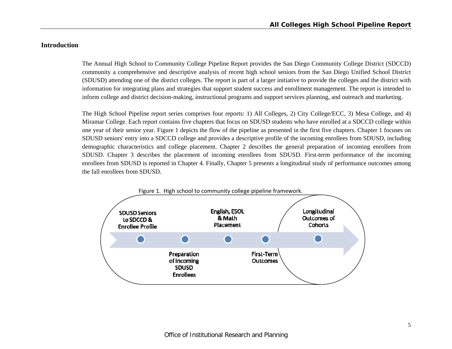#### **Introduction**

The Annual High School to Community College Pipeline Report provides the San Diego Community College District (SDCCD) community a comprehensive and descriptive analysis of recent high school seniors from the San Diego Unified School District (SDUSD) attending one of the district colleges. The report is part of a larger initiative to provide the colleges and the district with information for integrating plans and strategies that support student success and enrollment management. The report is intended to inform college and district decision-making, instructional programs and support services planning, and outreach and marketing.

The High School Pipeline report series comprises four reports: 1) All Colleges, 2) City College/ECC, 3) Mesa College, and 4) Miramar College. Each report contains five chapters that focus on SDUSD students who have enrolled at a SDCCD college within one year of their senior year. Figure 1 depicts the flow of the pipeline as presented in the first five chapters. Chapter 1 focuses on SDUSD seniors' entry into a SDCCD college and provides a descriptive profile of the incoming enrollees from SDUSD, including demographic characteristics and college placement. Chapter 2 describes the general preparation of incoming enrollees from SDUSD. Chapter 3 describes the placement of incoming enrollees from SDUSD. First-term performance of the incoming enrollees from SDUSD is reported in Chapter 4. Finally, Chapter 5 presents a longitudinal study of performance outcomes among the fall enrollees from SDUSD.

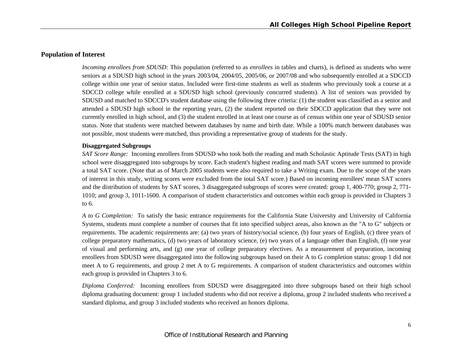#### **Population of Interest**

*Incoming enrollees from SDUSD:* This population (referred to as *enrollees* in tables and charts), is defined as students who were seniors at a SDUSD high school in the years 2003/04, 2004/05, 2005/06, or 2007/08 and who subsequently enrolled at a SDCCD college within one year of senior status. Included were first-time students as well as students who previously took a course at a SDCCD college while enrolled at a SDUSD high school (previously concurred students). A list of seniors was provided by SDUSD and matched to SDCCD's student database using the following three criteria: (1) the student was classified as a senior and attended a SDUSD high school in the reporting years, (2) the student reported on their SDCCD application that they were not currently enrolled in high school, and (3) the student enrolled in at least one course as of census within one year of SDUSD senior status. Note that students were matched between databases by name and birth date. While a 100% match between databases was not possible, most students were matched, thus providing a representative group of students for the study.

#### **Disaggregated Subgroups**

*SAT Score Range:* Incoming enrollees from SDUSD who took both the reading and math Scholastic Aptitude Tests (SAT) in high school were disaggregated into subgroups by score. Each student's highest reading and math SAT scores were summed to provide a total SAT score. (Note that as of March 2005 students were also required to take a Writing exam. Due to the scope of the years of interest in this study, writing scores were excluded from the total SAT score.) Based on incoming enrollees' mean SAT scores and the distribution of students by SAT scores, 3 disaggregated subgroups of scores were created: group 1, 400-770; group 2, 771- 1010; and group 3, 1011-1600. A comparison of student characteristics and outcomes within each group is provided in Chapters 3 to 6.

*A to G Completion:* To satisfy the basic entrance requirements for the California State University and University of California Systems, students must complete a number of courses that fit into specified subject areas, also known as the "A to G" subjects or requirements. The academic requirements are: (a) two years of history/social science, (b) four years of English, (c) three years of college preparatory mathematics, (d) two years of laboratory science, (e) two years of a language other than English, (f) one year of visual and performing arts, and (g) one year of college preparatory electives. As a measurement of preparation, incoming enrollees from SDUSD were disaggregated into the following subgroups based on their A to G completion status: group 1 did not meet A to G requirements, and group 2 met A to G requirements. A comparison of student characteristics and outcomes within each group is provided in Chapters 3 to 6.

*Diploma Conferred:* Incoming enrollees from SDUSD were disaggregated into three subgroups based on their high school diploma graduating document: group 1 included students who did not receive a diploma, group 2 included students who received a standard diploma, and group 3 included students who received an honors diploma.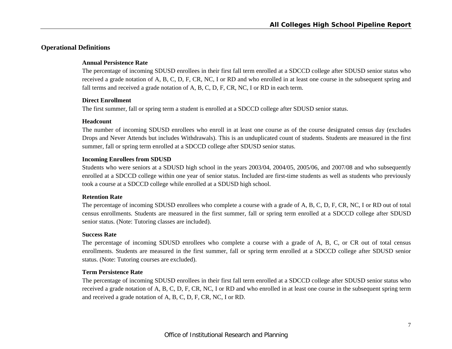# **Operational Definitions**

#### **Annual Persistence Rate**

The percentage of incoming SDUSD enrollees in their first fall term enrolled at a SDCCD college after SDUSD senior status who received a grade notation of A, B, C, D, F, CR, NC, I or RD and who enrolled in at least one course in the subsequent spring and fall terms and received a grade notation of A, B, C, D, F, CR, NC, I or RD in each term.

#### **Direct Enrollment**

The first summer, fall or spring term a student is enrolled at a SDCCD college after SDUSD senior status.

#### **Headcount**

The number of incoming SDUSD enrollees who enroll in at least one course as of the course designated census day (excludes Drops and Never Attends but includes Withdrawals). This is an unduplicated count of students. Students are measured in the first summer, fall or spring term enrolled at a SDCCD college after SDUSD senior status.

#### **Incoming Enrollees from SDUSD**

Students who were seniors at a SDUSD high school in the years 2003/04, 2004/05, 2005/06, and 2007/08 and who subsequently enrolled at a SDCCD college within one year of senior status. Included are first-time students as well as students who previously took a course at a SDCCD college while enrolled at a SDUSD high school.

#### **Retention Rate**

The percentage of incoming SDUSD enrollees who complete a course with a grade of A, B, C, D, F, CR, NC, I or RD out of total census enrollments. Students are measured in the first summer, fall or spring term enrolled at a SDCCD college after SDUSD senior status. (Note: Tutoring classes are included).

#### **Success Rate**

The percentage of incoming SDUSD enrollees who complete a course with a grade of A, B, C, or CR out of total census enrollments. Students are measured in the first summer, fall or spring term enrolled at a SDCCD college after SDUSD senior status. (Note: Tutoring courses are excluded).

#### **Term Persistence Rate**

The percentage of incoming SDUSD enrollees in their first fall term enrolled at a SDCCD college after SDUSD senior status who received a grade notation of A, B, C, D, F, CR, NC, I or RD and who enrolled in at least one course in the subsequent spring term and received a grade notation of A, B, C, D, F, CR, NC, I or RD.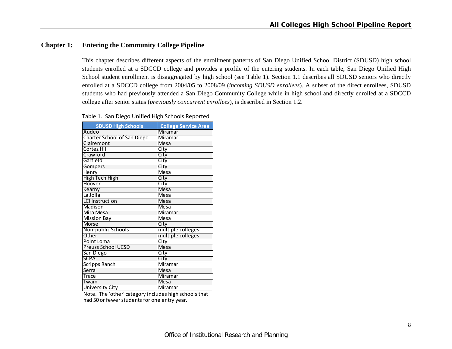# **Chapter 1: Entering the Community College Pipeline**

**SDUSD** High Schools

Point Loma City Preuss School UCSD Mesa

San Diego City SCPA City Scripps Ranch Miramar Serra Mesa Trace Miramar

University City Miramar

Twain

This chapter describes different aspects of the enrollment patterns of San Diego Unified School District (SDUSD) high school students enrolled at a SDCCD college and provides a profile of the entering students. In each table, San Diego Unified High School student enrollment is disaggregated by high school (see Table 1). Section 1.1 describes all SDUSD seniors who directly enrolled at a SDCCD college from 2004/05 to 2008/09 (*incoming SDUSD enrollees*). A subset of the direct enrollees, SDUSD students who had previously attended a San Diego Community College while in high school and directly enrolled at a SDCCD college after senior status (*previously concurrent enrollees*), is described in Section 1.2.

| <b>SDUSD HIRII SCHOOIS</b>         | COTTERS SETVICE ATECT |
|------------------------------------|-----------------------|
| Audeo                              | Miramar               |
| <b>Charter School of San Diego</b> | Miramar               |
| Clairemont                         | <b>Mesa</b>           |
| Cortez Hill                        | City                  |
| Crawford                           | City                  |
| Garfield                           | City                  |
| <b>Gompers</b>                     | City                  |
| Henry                              | Mesa                  |
| High Tech High                     | City                  |
| Hoover                             | City                  |
| Kearny                             | <b>Mesa</b>           |
| La Jolla                           | <b>Mesa</b>           |
| <b>LCI Instruction</b>             | <b>Mesa</b>           |
| Madison                            | <b>Mesa</b>           |
| Mira Mesa                          | Miramar               |
| <b>Mission Bay</b>                 | <b>Mesa</b>           |
| <b>Morse</b>                       | City                  |
| Non-public Schools                 | multiple colleges     |
| Other                              | multiple colleges     |

Table 1. San Diego Unified High Schools Reported

**High Schools College Service Area**

had 50 or fewer students for one entry year. Note. The 'other' category includes high schools that

Mesa

Mesa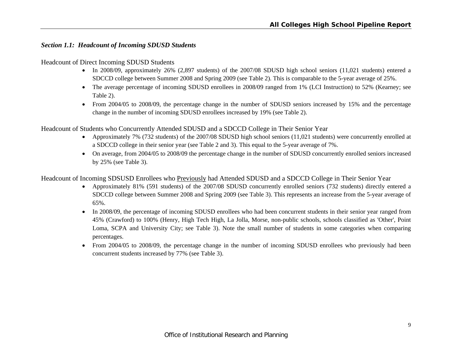# *Section 1.1: Headcount of Incoming SDUSD Students*

#### Headcount of Direct Incoming SDUSD Students

- In 2008/09, approximately 26% (2,897 students) of the 2007/08 SDUSD high school seniors (11,021 students) entered a SDCCD college between Summer 2008 and Spring 2009 (see Table 2). This is comparable to the 5-year average of 25%.
- The average percentage of incoming SDUSD enrollees in 2008/09 ranged from 1% (LCI Instruction) to 52% (Kearney; see Table 2).
- From 2004/05 to 2008/09, the percentage change in the number of SDUSD seniors increased by 15% and the percentage change in the number of incoming SDUSD enrollees increased by 19% (see Table 2).

Headcount of Students who Concurrently Attended SDUSD and a SDCCD College in Their Senior Year

- Approximately 7% (732 students) of the 2007/08 SDUSD high school seniors (11,021 students) were concurrently enrolled at a SDCCD college in their senior year (see Table 2 and 3). This equal to the 5-year average of 7%.
- On average, from 2004/05 to 2008/09 the percentage change in the number of SDUSD concurrently enrolled seniors increased by 25% (see Table 3).

Headcount of Incoming SDSUSD Enrollees who Previously had Attended SDUSD and a SDCCD College in Their Senior Year

- Approximately 81% (591 students) of the 2007/08 SDUSD concurrently enrolled seniors (732 students) directly entered a SDCCD college between Summer 2008 and Spring 2009 (see Table 3). This represents an increase from the 5-year average of 65%.
- In 2008/09, the percentage of incoming SDUSD enrollees who had been concurrent students in their senior year ranged from 45% (Crawford) to 100% (Henry, High Tech High, La Jolla, Morse, non-public schools, schools classified as 'Other', Point Loma, SCPA and University City; see Table 3). Note the small number of students in some categories when comparing percentages.
- From 2004/05 to 2008/09, the percentage change in the number of incoming SDUSD enrollees who previously had been concurrent students increased by 77% (see Table 3).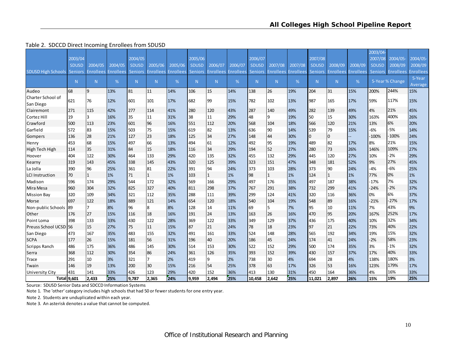#### Table 2. SDCCD Direct Incoming Enrollees from SDUSD

|                           |                |                  |                  |                |                  |                  |                |                  |                  |                |                |                  |                |                  |                  | 2003/04-       |                 |                  |
|---------------------------|----------------|------------------|------------------|----------------|------------------|------------------|----------------|------------------|------------------|----------------|----------------|------------------|----------------|------------------|------------------|----------------|-----------------|------------------|
|                           | 2003/04        |                  |                  | 2004/05        |                  |                  | 2005/06        |                  |                  | 2006/07        |                |                  | 2007/08        |                  |                  | 2007/08        | 2004/05-        | 2004/05-         |
|                           | <b>SDUSD</b>   | 2004/05          | 2004/05          | <b>SDUSD</b>   | 2005/06          | 2005/06          | <b>SDUSD</b>   | 2006/07          | 2006/07          | <b>SDUSD</b>   | 2007/08        | 2007/08          | <b>SDUSD</b>   | 2008/09          | 2008/09          | <b>SDUSD</b>   | 2008/09         | 2008/09          |
| <b>SDUSD High Schools</b> | <b>Seniors</b> | <b>Enrollees</b> | <b>Enrollees</b> | <b>Seniors</b> | <b>Enrollees</b> | <b>Enrollees</b> | <b>Seniors</b> | <b>Enrollees</b> | <b>Enrollees</b> | <b>Seniors</b> | Enrollees      | <b>Enrollees</b> | <b>Seniors</b> | <b>Enrollees</b> | <b>Enrollees</b> | <b>Seniors</b> | Enrollees       | <b>Enrollees</b> |
|                           | N              | N.               | %                | N              | N                | %                | N              | N                | %                | N              | N <sub>1</sub> | %                | N.             | N                | %                |                | 5-Year % Change | 5-Year           |
|                           |                |                  |                  |                |                  |                  |                |                  |                  |                |                |                  |                |                  |                  |                |                 | Average          |
| Audeo                     | 68             | 19               | 13%              | 81             | 11               | 14%              | 106            | 15               | 14%              | 138            | 26             | 19%              | 204            | 31               | 15%              | 200%           | 244%            | 15%              |
| Charter School of         | 621            | 76               | 12%              | 601            | 101              | 17%              | 682            | 99               | 15%              | 782            | 102            | 13%              | 987            | 165              | 17%              | 59%            | 117%            | 15%              |
| San Diego                 |                |                  |                  |                |                  |                  |                |                  |                  |                |                |                  |                |                  |                  |                |                 |                  |
| Clairemont                | 271            | 115              | 42%              | 277            | 114              | 41%              | 280            | 120              | 43%              | 287            | 140            | 49%              | 282            | 139              | 49%              | 4%             | 21%             | 45%              |
| Cortez Hill               | 19             | l3               | 16%              | 35             | 11               | 31%              | 38             | 11               | 29%              | 48             | 19             | 19%              | 50             | 15               | 30%              | 163%           | 400%            | 26%              |
| Crawford                  | 500            | 113              | 23%              | 601            | 96               | 16%              | 551            | 112              | 20%              | 568            | 104            | 18%              | 566            | 120              | 21%              | 13%            | 6%              | 20%              |
| Garfield                  | 572            | 83               | 15%              | 503            | 75               | 15%              | 619            | 82               | 13%              | 636            | 190            | 14%              | 539            | 79               | 15%              | $-6%$          | $-5%$           | 14%              |
| Gompers                   | 136            | 28               | 21%              | 127            | 23               | 18%              | 125            | 34               | 27%              | 148            | 44             | 30%              | $\overline{0}$ | $\overline{0}$   |                  | $-100%$        | $-100%$         | 24%              |
| Henry                     | 453            | 68               | 15%              | 497            | 66               | 13%              | 494            | 61               | 12%              | 492            | 95             | 19%              | 489            | 82               | 17%              | 8%             | 21%             | 15%              |
| High Tech High            | 114            | 35               | 31%              | 84             | 15               | 18%              | 116            | 34               | 29%              | 194            | 52             | 27%              | 280            | 73               | 26%              | 146%           | 109%            | 27%              |
| Hoover                    | 404            | 122              | 30%              | 464            | 133              | 29%              | 420            | 135              | 32%              | 455            | 132            | 29%              | 445            | 120              | 27%              | 10%            | $-2%$           | 29%              |
| Kearny                    | 319            | 143              | 45%              | 338            | 145              | 43%              | 320            | 125              | 39%              | 323            | 151            | 47%              | 348            | 181              | 52%              | 9%             | 27%             | 45%              |
| La Jolla                  | 390            | 96               | 25%              | 361            | 81               | 22%              | 391            | 94               | 24%              | 373            | 103            | 28%              | 373            | 90               | 24%              | $-4%$          | $-6%$           | 25%              |
| <b>LCI Instruction</b>    | 70             | I1               | 1%               | 71             | $\mathbf{1}$     | 1%               | 103            | $\mathbf{1}$     | 1%               | 98             | $\mathbf{1}$   | 1%               | 124            | $\mathbf{1}$     | 1%               | 77%            | 0%              | 1%               |
| Madison                   | 596            | 174              | 29%              | 544            | 172              | 32%              | 569            | 166              | 29%              | 497            | 176            | 35%              | 497            | 187              | 38%              | $-17%$         | 7%              | 32%              |
| Mira Mesa                 | 960            | 304              | 32%              | 825            | 327              | 40%              | 811            | 298              | 37%              | 767            | 291            | 38%              | 732            | 299              | 41%              | $-24%$         | $-2%$           | 37%              |
| <b>Mission Bay</b>        | 320            | 109              | 34%              | 321            | 112              | 35%              | 288            | 111              | 39%              | 299            | 124            | 41%              | 320            | 116              | 36%              | 0%             | 6%              | 37%              |
| Morse                     | 697            | 122              | 18%              | 889            | 121              | 14%              | 654            | 120              | 18%              | 540            | 104            | 19%              | 548            | 89               | 16%              | $-21%$         | $-27%$          | 17%              |
| Non-public Schools        | 89             | 17               | 8%               | 96             | 8                | 8%               | 128            | 14               | 11%              | 69             | 5              | 7%               | 95             | 10               | 11%              | 7%             | 43%             | 9%               |
| Other                     | 176            | 27               | 15%              | 116            | 18               | 16%              | 191            | 24               | 13%              | 163            | 26             | 16%              | 470            | 95               | 20%              | 167%           | 252%            | 17%              |
| Point Loma                | 398            | 133              | 33%              | 430            | 122              | 28%              | 369            | 122              | 33%              | 349            | 129            | 37%              | 436            | 175              | 40%              | 10%            | 32%             | 34%              |
| Preuss School UCSD 56     |                | 15               | 27%              | 75             | 11               | 15%              | 87             | 21               | 24%              | 78             | 18             | 23%              | 97             | 21               | 22%              | 73%            | 40%             | 22%              |
| San Diego                 | 473            | 167              | 35%              | 483            | 155              | 32%              | 491            | 161              | 33%              | 524            | 148            | 28%              | 565            | 192              | 34%              | 19%            | 15%             | 32%              |
| <b>SCPA</b>               | 177            | 26               | 15%              | 181            | 56               | 31%              | 196            | 40               | 20%              | 186            | 45             | 24%              | 174            | 41               | 24%              | $-2%$          | 58%             | 23%              |
| Scripps Ranch             | 486            | 175              | 36%              | 486            | 145              | 30%              | 514            | 153              | 30%              | 522            | 152            | 29%              | 500            | 174              | 35%              | 3%             | $-1%$           | 32%              |
| Serra                     | 368            | 112              | 30%              | 354            | 86               | 24%              | 361            | 126              | 35%              | 393            | 152            | 39%              | 430            | 157              | 37%              | 17%            | 40%             | 33%              |
| Trace                     | 291            | 10               | 3%               | 321            | $\overline{7}$   | 2%               | 419            | 9                | 2%               | 738            | 30             | 4%               | 694            | 28               | 4%               | 138%           | 180%            | 3%               |
| Twain                     | 146            | 19               | 13%              | 200            | 30               | 15%              | 216            | 54               | 25%              | 378            | 63             | 17%              | 326            | 53               | 16%              | 123%           | 179%            | 17%              |
| University City           | 431            | 141              | 33%              | 426            | 123              | 29%              | 420            | 152              | 36%              | 413            | 130            | 31%              | 450            | 164              | 36%              | 4%             | 16%             | 33%              |
|                           | Total 9,601    | 2.433            | 25%              | 9,787          | 2,365            | 24%              | 9,959          | 2,494            | 25%              | 10.458         | 2,642          | 25%              | 11.021         | 2.897            | 26%              | 15%            | 19%             | 25%              |

Source: SDUSD Senior Data and SDCCD Information Systems

Note 1. The 'other' category includes high schools that had 50 or fewerstudents for one entry year.

Note 2. Students are unduplicated within each year.

Note 3. An asterisk denotes <sup>a</sup> value that cannot be computed.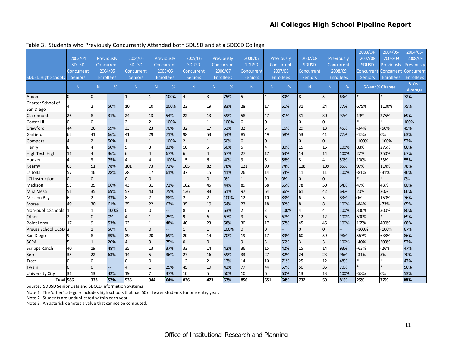|                                | 2003/04        |     | Previously       | 2004/05        |              | Previously       | 2005/06        |     | Previously       | 2006/07        |                | Previously       | 2007/08        |                  | Previously       | 2003/04-<br>2007/08 | 2004/05-<br>2008/09 | 2004/05-<br>2008/09 |
|--------------------------------|----------------|-----|------------------|----------------|--------------|------------------|----------------|-----|------------------|----------------|----------------|------------------|----------------|------------------|------------------|---------------------|---------------------|---------------------|
|                                | <b>SDUSD</b>   |     | Concurrent       | <b>SDUSD</b>   |              | Concurrent       | <b>SDUSD</b>   |     | Concurrent       | <b>SDUSD</b>   |                | Concurrent       | <b>SDUSD</b>   |                  | Concurrent       | <b>SDUSD</b>        | Previously          | Previously          |
|                                | Concurrent     |     | 2004/05          | Concurrent     |              | 2005/06          | Concurrent     |     | 2006/07          | Concurrent     |                | 2007/08          | Concurrent     |                  | 2008/09          | Concurrent l        | <b>Concurrent</b>   | Concurrent          |
| <b>SDUSD High Schools</b>      | Seniors        |     | <b>Enrollees</b> | <b>Seniors</b> |              | <b>Enrollees</b> | <b>Seniors</b> |     | <b>Enrollees</b> | Seniors        |                | <b>Enrollees</b> | <b>Seniors</b> |                  | <b>Enrollees</b> | Seniors             | Enrollees           | <b>Enrollees</b>    |
|                                | N              | N   | %                | N              | N.           | %                | N <sub>1</sub> | N.  | %                | N              | N <sub>1</sub> | %                | N              | N                | %                |                     | 5-Year % Change     | 5-Year<br>Average   |
| Audeo                          | $\overline{0}$ | lo. |                  | 1              | $\mathbf{1}$ | 100%             | $\overline{4}$ | 3   | 75%              | 5              | $\overline{4}$ | 80%              | 8              | 5                | 63%              |                     |                     | 72%                 |
| Charter School of<br>San Diego |                | I2  | 50%              | 10             | 10           | 100%             | 23             | 19  | 83%              | 28             | 17             | 61%              | 31             | 24               | 77%              | 675%                | 1100%               | 75%                 |
| Clairemont                     | 26             | 8   | 31%              | 24             | 13           | 54%              | 22             | 13  | 59%              | 58             | 47             | 81%              | 31             | 30               | 97%              | 19%                 | 275%                | 69%                 |
| Cortez Hill                    | 0              | Io  |                  | $\mathcal{P}$  | 12           | 100%             |                | 1   | 100%             | I0             | n.             |                  | $\Omega$       | $\overline{0}$   |                  |                     |                     | 100%                |
| Crawford                       | 44             | 26  | 59%              | 33             | 23           | 70%              | 32             | 17  | 53%              | 32             | 15             | 16%              | 29             | 13               | 45%              | -34%                | $-50%$              | 49%                 |
| Garfield                       | 62             | 41  | 66%              | 41             | 29           | 71%              | 98             | 53  | 54%              | 85             | 49             | 58%              | 53             | 41               | 77%              | -15%                | 0%                  | 63%                 |
| Gompers                        | 14             | l2  | 50%              |                | 1            | 100%             | $\overline{2}$ |     | 50%              | $\mathbf 0$    | $\Omega$       |                  | $\overline{0}$ | $\overline{0}$   |                  | $-100%$             | $-100%$             | 57%                 |
| Henry                          | 8              | 14  | 50%              | q              | l3           | 33%              | 10             | 5   | 50%              | 5              |                | 80%              | 15             | 15               | 100%             | 88%                 | 275%                | 66%                 |
| High Tech High                 | 11             | 14  | 36%              | 6              | 14           | 67%              | 6              | 4   | 67%              | 27             | 17             | 63%              | 14             | 14               | 100%             | 27%                 | 250%                | 67%                 |
| Hoover                         | 4              | l3  | 75%              | 4              | $\Delta$     | 100%             | 15             | 6   | 40%              | 9              |                | 56%              | 8              | 4                | 50%              | 100%                | 33%                 | 55%                 |
| Kearny                         | 65             | 51  | 78%              | 101            | 73           | 72%              | 105            | 82  | 78%              | 121            | 90             | 74%              | 128            | 109              | 85%              | 97%                 | 114%                | 78%                 |
| La Jolla                       | 57             | 16  | 28%              | 28             | 17           | 61%              | 37             | 15  | 41%              | 26             | 14             | 54%              | 11             | 11               | 100%             | $-81%$              | $-31%$              | 46%                 |
| <b>LCI Instruction</b>         | $\overline{0}$ | 0   |                  | $\Omega$       | 0            |                  |                | 0   | 0%               | 1              | $\Omega$       | 0%               | $\overline{0}$ | $\overline{0}$   |                  |                     |                     | 0%                  |
| Madison                        | 53             | 35  | 66%              | 43             | 31           | 72%              | 102            | 45  | 44%              | 89             | 58             | 65%              | 78             | 50               | 64%              | 47%                 | 43%                 | 60%                 |
| Mira Mesa                      | 51             | 35  | 69%              | 57             | 43           | 75%              | 136            | 83  | 61%              | 97             | 64             | 66%              | 61             | 42               | 69%              | 20%                 | 20%                 | 66%                 |
| <b>Mission Bay</b>             | 6              | l2  | 33%              | 8              | 17           | 88%              | 2              | 2   | 100%             | 12             | 10             | 83%              | 6              | 5                | 83%              | 0%                  | 150%                | 76%                 |
| Morse                          | 49             | 30  | 61%              | 35             | 22           | 63%              | 35             | 19  | 54%              | 22             | 18             | 82%              | 8              | $\boldsymbol{8}$ | 100%             | $-84%$              | $-73%$              | 65%                 |
| Non-public Schools             |                | I1  | 100%             |                | $\Omega$     |                  | 8              | 5   | 63%              | $\overline{2}$ |                | 100%             | 4              | 4                | 100%             | 300%                | 300%                | 80%                 |
| Other                          |                | 10  | 0%               | 4              | 1            | 25%              | 9              | 6   | 67%              | 9              | 6              | 67%              | 12             | 12               | 100%             | 500%                |                     | 69%                 |
| Point Loma                     | 17             | 19  | 53%              | 23             | 11           | 48%              | 40             | 23  | 58%              | 30             | 17             | 57%              | 45             | 45               | 100%             | 165%                | 400%                | 68%                 |
| Preuss School UCSD 2           |                | 1   | 50%              | l0             | l0           |                  |                | 1   | 100%             | 10             | $\Omega$       |                  | $\mathbf 0$    | $\overline{0}$   |                  | $-100%$             | $-100%$             | 67%                 |
| San Diego                      |                | 18  | 89%              | 29             | 20           | 69%              | 20             | 14  | 70%              | 19             | 17             | 89%              | 60             | 59               | 98%              | 567%                | 638%                | 86%                 |
| <b>SCPA</b>                    | 5              | 1   | 20%              | 4              | 13           | 75%              | $\overline{0}$ | 0   |                  | 9              |                | 56%              | $\overline{3}$ | $\overline{3}$   | 100%             | $-40%$              | 200%                | 57%                 |
| Scripps Ranch                  | 40             | 19  | 48%              | 35             | 13           | 37%              | 33             | 14  | 42%              | 36             | 15             | 42%              | 15             | 14               | 93%              | $-63%$              | $-26%$              | 47%                 |
| Serra                          | 35             | 22  | 63%              | 14             | 15           | 36%              | 27             | 16  | 59%              | 33             | 27             | 82%              | 24             | 23               | 96%              | $-31%$              | 5%                  | 70%                 |
| Trace                          | 0              | l0  |                  |                | I۵           |                  | 12             | 2   | 17%              | 14             | 10             | 71%              | 25             | 12               | 48%              |                     |                     | 47%                 |
| Twain                          | 0              | 10  |                  |                |              | 25%              | 45             | 19  | 42%              | 77             | 44             | 57%              | 50             | 35               | 70%              |                     |                     | 56%                 |
| University City                | 31             | 13  | 42%              | 19             |              | 37%              | 10             | 5   | 50%              | 10             | 6              | 60%              | 13             | 13               | 100%             | $-58%$              | 0%                  | 53%                 |
| Total 586                      |                | 333 | 57%              | <b>I</b> 535   | 344          | 64%              | 836            | 473 | 57%              | 856            | 551            | 64%              | 732            | 591              | 81%              | 25%                 | 77%                 | 65%                 |

Table 3. Students who Previously Concurrently Attended both SDUSD and at <sup>a</sup> SDCCD College

Source: SDUSD Senior Data and SDCCD Information Systems

Note 1. The 'other' category includes high schools that had 50 or fewerstudents for one entry year.

Note 2. Students are unduplicated within each year.

Note 3. An asterisk denotes <sup>a</sup> value that cannot be computed.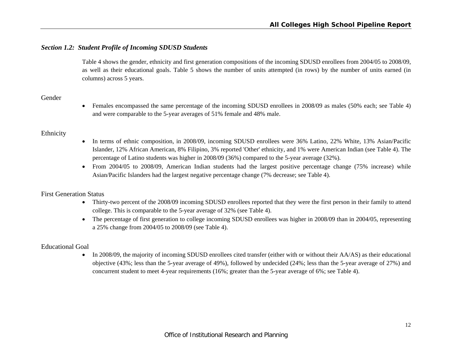#### *Section 1.2: Student Profile of Incoming SDUSD Students*

Table 4 shows the gender, ethnicity and first generation compositions of the incoming SDUSD enrollees from 2004/05 to 2008/09, as well as their educational goals. Table 5 shows the number of units attempted (in rows) by the number of units earned (in columns) across 5 years.

# Gender

 Females encompassed the same percentage of the incoming SDUSD enrollees in 2008/09 as males (50% each; see Table 4) and were comparable to the 5-year averages of 51% female and 48% male.

#### Ethnicity

- In terms of ethnic composition, in 2008/09, incoming SDUSD enrollees were 36% Latino, 22% White, 13% Asian/Pacific Islander, 12% African American, 8% Filipino, 3% reported 'Other' ethnicity, and 1% were American Indian (see Table 4). The percentage of Latino students was higher in 2008/09 (36%) compared to the 5-year average (32%).
- From 2004/05 to 2008/09, American Indian students had the largest positive percentage change (75% increase) while Asian/Pacific Islanders had the largest negative percentage change (7% decrease; see Table 4).

# First Generation Status

- Thirty-two percent of the 2008/09 incoming SDUSD enrollees reported that they were the first person in their family to attend college. This is comparable to the 5-year average of 32% (see Table 4).
- The percentage of first generation to college incoming SDUSD enrollees was higher in 2008/09 than in 2004/05, representing a 25% change from 2004/05 to 2008/09 (see Table 4).

# Educational Goal

• In 2008/09, the majority of incoming SDUSD enrollees cited transfer (either with or without their AA/AS) as their educational objective (43%; less than the 5-year average of 49%), followed by undecided (24%; less than the 5-year average of 27%) and concurrent student to meet 4-year requirements (16%; greater than the 5-year average of 6%; see Table 4).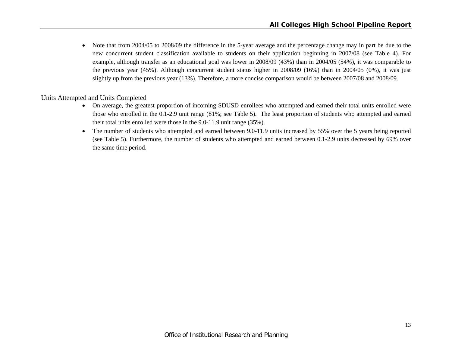$\bullet$  Note that from 2004/05 to 2008/09 the difference in the 5-year average and the percentage change may in part be due to the new concurrent student classification available to students on their application beginning in 2007/08 (see Table 4). For example, although transfer as an educational goal was lower in 2008/09 (43%) than in 2004/05 (54%), it was comparable to the previous year (45%). Although concurrent student status higher in 2008/09 (16%) than in 2004/05 (0%), it was just slightly up from the previous year (13%). Therefore, a more concise comparison would be between 2007/08 and 2008/09.

Units Attempted and Units Completed

- On average, the greatest proportion of incoming SDUSD enrollees who attempted and earned their total units enrolled were those who enrolled in the 0.1-2.9 unit range (81%; see Table 5). The least proportion of students who attempted and earned their total units enrolled were those in the 9.0-11.9 unit range (35%).
- $\bullet$  The number of students who attempted and earned between 9.0-11.9 units increased by 55% over the 5 years being reported (see Table 5). Furthermore, the number of students who attempted and earned between 0.1-2.9 units decreased by 69% over the same time period.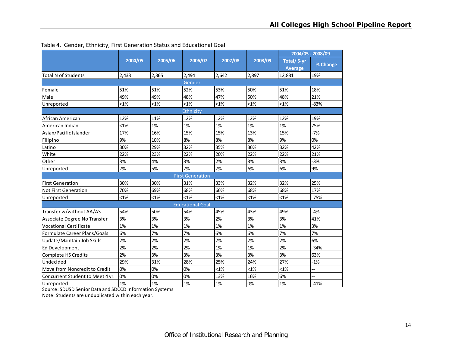|                                  |         |         |                         |         |         |                       | 2004/05 - 2008/09 |
|----------------------------------|---------|---------|-------------------------|---------|---------|-----------------------|-------------------|
|                                  | 2004/05 | 2005/06 | 2006/07                 | 2007/08 | 2008/09 | Total/5-yr<br>Average | % Change          |
| <b>Total N of Students</b>       | 2,433   | 2,365   | 2,494                   | 2,642   | 2,897   | 12,831                | 19%               |
|                                  |         |         | Gender                  |         |         |                       |                   |
| Female                           | 51%     | 51%     | 52%                     | 53%     | 50%     | 51%                   | 18%               |
| Male                             | 49%     | 49%     | 48%                     | 47%     | 50%     | 48%                   | 21%               |
| Unreported                       | $< 1\%$ | $< 1\%$ | $< 1\%$                 | $< 1\%$ | $< 1\%$ | $< 1\%$               | $-83%$            |
|                                  |         |         | Ethnicity               |         |         |                       |                   |
| African American                 | 12%     | 11%     | 12%                     | 12%     | 12%     | 12%                   | 19%               |
| American Indian                  | $< 1\%$ | 1%      | 1%                      | 1%      | 1%      | 1%                    | 75%               |
| Asian/Pacific Islander           | 17%     | 16%     | 15%                     | 15%     | 13%     | 15%                   | $-7%$             |
| Filipino                         | 9%      | 10%     | 8%                      | 8%      | 8%      | 9%                    | 0%                |
| Latino                           | 30%     | 29%     | 32%                     | 35%     | 36%     | 32%                   | 42%               |
| White                            | 22%     | 23%     | 22%                     | 20%     | 22%     | 22%                   | 21%               |
| Other                            | 3%      | 4%      | 3%                      | 2%      | 3%      | 3%                    | $-3%$             |
| Unreported                       | 7%      | 5%      | 7%                      | 7%      | 6%      | 6%                    | 9%                |
|                                  |         |         | <b>First Generation</b> |         |         |                       |                   |
| <b>First Generation</b>          | 30%     | 30%     | 31%                     | 33%     | 32%     | 32%                   | 25%               |
| <b>Not First Generation</b>      | 70%     | 69%     | 68%                     | 66%     | 68%     | 68%                   | 17%               |
| Unreported                       | <1%     | $< 1\%$ | $< 1\%$                 | $< 1\%$ | $< 1\%$ | $< 1\%$               | $-75%$            |
|                                  |         |         | <b>Educational Goal</b> |         |         |                       |                   |
| Transfer w/without AA/AS         | 54%     | 50%     | 54%                     | 45%     | 43%     | 49%                   | $-4%$             |
| Associate Degree No Transfer     | 3%      | 3%      | 3%                      | 2%      | 3%      | 3%                    | 41%               |
| <b>Vocational Certificate</b>    | 1%      | 1%      | 1%                      | 1%      | 1%      | 1%                    | 3%                |
| Formulate Career Plans/Goals     | 6%      | 7%      | 7%                      | 6%      | 6%      | 7%                    | 7%                |
| Update/Maintain Job Skills       | 2%      | 2%      | 2%                      | 2%      | 2%      | 2%                    | 6%                |
| <b>Ed Development</b>            | 2%      | 2%      | 2%                      | 1%      | 1%      | 2%                    | $-34%$            |
| Complete HS Credits              | 2%      | 3%      | 3%                      | 3%      | 3%      | 3%                    | 63%               |
| Undecided                        | 29%     | 31%     | 28%                     | 25%     | 24%     | 27%                   | $-1%$             |
| Move from Noncredit to Credit    | 0%      | 0%      | 0%                      | 1%      | $< 1\%$ | $< 1\%$               | --                |
| Concurrent Student to Meet 4 yr. | 0%      | 0%      | 0%                      | 13%     | 16%     | 6%                    |                   |
| Unreported                       | 1%      | 1%      | 1%                      | 1%      | 0%      | 1%                    | $-41%$            |

Table 4. Gender, Ethnicity, First Generation Status and Educational Goal

Source: SDUSD Senior Data and SDCCD Information Systems

Note: Students are unduplicated within each year.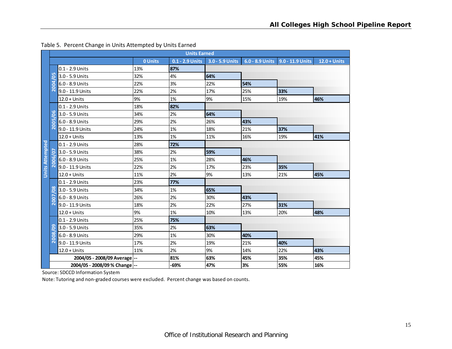|                        |                         |                               |                | <b>Units Earned</b> |                 |     |                                  |                |
|------------------------|-------------------------|-------------------------------|----------------|---------------------|-----------------|-----|----------------------------------|----------------|
|                        |                         |                               | <b>0 Units</b> | 0.1 - 2.9 Units     | 3.0 - 5.9 Units |     | 6.0 - 8.9 Units 9.0 - 11.9 Units | $12.0 + Units$ |
|                        |                         | 0.1 - 2.9 Units               | 13%            | 87%                 |                 |     |                                  |                |
|                        | m<br>0                  | 3.0 - 5.9 Units               | 32%            | 4%                  | 64%             |     |                                  |                |
|                        | 004                     | 6.0 - 8.9 Units               | 22%            | 3%                  | 22%             | 54% |                                  |                |
|                        | $\overline{\mathsf{N}}$ | 9.0 - 11.9 Units              | 22%            | 2%                  | 17%             | 25% | 33%                              |                |
|                        |                         | $12.0 + Units$                | 9%             | 1%                  | 9%              | 15% | 19%                              | 46%            |
|                        |                         | $0.1 - 2.9$ Units             | 18%            | 82%                 |                 |     |                                  |                |
|                        | <b>LO</b><br>ō          | 3.0 - 5.9 Units               | 34%            | 2%                  | 64%             |     |                                  |                |
|                        | ம<br>ē                  | 6.0 - 8.9 Units               | 29%            | 2%                  | 26%             | 43% |                                  |                |
|                        | $\bar{\mathsf{N}}$      | 9.0 - 11.9 Units              | 24%            | 1%                  | 18%             | 21% | 37%                              |                |
|                        |                         | $12.0 + Units$                | 13%            | 1%                  | 11%             | 16% | 19%                              | 41%            |
| <b>Units Attempted</b> |                         | 0.1 - 2.9 Units               | 28%            | 72%                 |                 |     |                                  |                |
|                        | <u>SQ</u>               | 3.0 - 5.9 Units               | 38%            | 2%                  | 59%             |     |                                  |                |
|                        | 2006/                   | 6.0 - 8.9 Units               | 25%            | 1%                  | 28%             | 46% |                                  |                |
|                        |                         | 9.0 - 11.9 Units              | 22%            | 2%                  | 17%             | 23% | 35%                              |                |
|                        |                         | $12.0 + Units$                | 11%            | 2%                  | 9%              | 13% | 21%                              | 45%            |
|                        |                         | 0.1 - 2.9 Units               | 23%            | 77%                 |                 |     |                                  |                |
|                        | $\frac{8}{5}$           | 3.0 - 5.9 Units               | 34%            | 1%                  | 65%             |     |                                  |                |
|                        | <b>2007</b>             | 6.0 - 8.9 Units               | 26%            | 2%                  | 30%             | 43% |                                  |                |
|                        |                         | 9.0 - 11.9 Units              | 18%            | 2%                  | 22%             | 27% | 31%                              |                |
|                        |                         | $12.0 + Units$                | 9%             | 1%                  | 10%             | 13% | 20%                              | 48%            |
|                        |                         | 0.1 - 2.9 Units               | 25%            | 75%                 |                 |     |                                  |                |
|                        | ၉၅                      | 3.0 - 5.9 Units               | 35%            | 2%                  | 63%             |     |                                  |                |
|                        | 2008                    | $6.0 - 8.9$ Units             | 29%            | 1%                  | 30%             | 40% |                                  |                |
|                        |                         | 9.0 - 11.9 Units              | 17%            | 2%                  | 19%             | 21% | 40%                              |                |
|                        |                         | $12.0 + Units$                | 11%            | 2%                  | 9%              | 14% | 22%                              | 43%            |
|                        |                         | 2004/05 - 2008/09 Average --  |                | 81%                 | 63%             | 45% | 35%                              | 45%            |
|                        |                         | 2004/05 - 2008/09 % Change -- |                | -69%                | 47%             | 3%  | 55%                              | 16%            |

#### Table 5. Percent Change in Units Attempted by Units Earned

Source: SDCCD Information System

Note: Tutoring and non‐graded courses were excluded. Percent change was based on counts.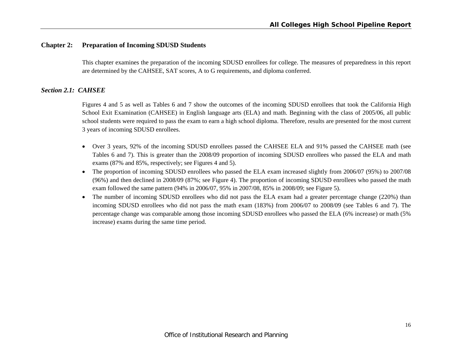# **Chapter 2: Preparation of Incoming SDUSD Students**

This chapter examines the preparation of the incoming SDUSD enrollees for college. The measures of preparedness in this report are determined by the CAHSEE, SAT scores, A to G requirements, and diploma conferred.

#### *Section 2.1: CAHSEE*

Figures 4 and 5 as well as Tables 6 and 7 show the outcomes of the incoming SDUSD enrollees that took the California High School Exit Examination (CAHSEE) in English language arts (ELA) and math. Beginning with the class of 2005/06, all public school students were required to pass the exam to earn a high school diploma. Therefore, results are presented for the most current 3 years of incoming SDUSD enrollees.

- Over 3 years, 92% of the incoming SDUSD enrollees passed the CAHSEE ELA and 91% passed the CAHSEE math (see Tables 6 and 7). This is greater than the 2008/09 proportion of incoming SDUSD enrollees who passed the ELA and math exams (87% and 85%, respectively; see Figures 4 and 5).
- The proportion of incoming SDUSD enrollees who passed the ELA exam increased slightly from 2006/07 (95%) to 2007/08 (96%) and then declined in 2008/09 (87%; see Figure 4). The proportion of incoming SDUSD enrollees who passed the math exam followed the same pattern (94% in 2006/07, 95% in 2007/08, 85% in 2008/09; see Figure 5).
- $\bullet$  The number of incoming SDUSD enrollees who did not pass the ELA exam had a greater percentage change (220%) than incoming SDUSD enrollees who did not pass the math exam (183%) from 2006/07 to 2008/09 (see Tables 6 and 7). The percentage change was comparable among those incoming SDUSD enrollees who passed the ELA (6% increase) or math (5% increase) exams during the same time period.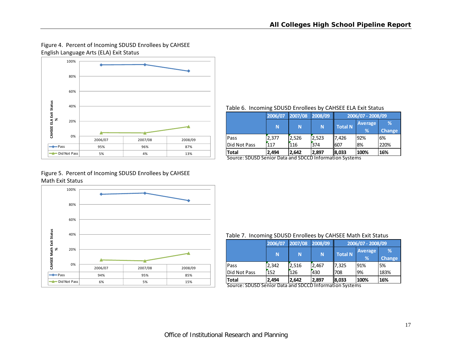# Figure 4. Percent of Incoming SDUSD Enrollees by CAHSEE English Language Arts (ELA) Exit Status



#### Table 6. Incoming SDUSD Enrollees by CAHSEE ELA Exit Status

|              | 2006/07 | 2007/08 2008/09 |       |                | 2006/07 - 2008/09 |               |
|--------------|---------|-----------------|-------|----------------|-------------------|---------------|
|              | N       | N               | N.    | <b>Total N</b> | <b>Average</b>    | %             |
|              |         |                 |       |                | %                 | <b>Change</b> |
| Pass         | 2.377   | 2,526           | 2.523 | 17.426         | 92%               | 6%            |
| Did Not Pass | 117     | 116             | 374   | 1607           | 8%                | 220%          |
| <b>Total</b> | 2.494   | 2,642           | 2,897 | 8,033          | 100%              | 16%           |

Source: SDUSD Senior Data and SDCCD Information Systems

#### Figure 5. Percent of Incoming SDUSD Enrollees by CAHSEE Math Exit Status



#### Table 7. Incoming SDUSD Enrollees by CAHSEE Math Exit Status

|              | 2006/07 | 2007/08 | 2008/09 | 2006/07 - 2008/09 |              |                    |  |  |  |
|--------------|---------|---------|---------|-------------------|--------------|--------------------|--|--|--|
|              | N       | N       | N       | <b>Total N</b>    | Average<br>% | %<br><b>Change</b> |  |  |  |
| Pass         | 2.342   | 2,516   | 2.467   | 17.325            | 91%          | 5%                 |  |  |  |
| Did Not Pass | 152     | 126     | 430     | 708               | 9%           | 183%               |  |  |  |
| <b>Total</b> | 2,494   | 2,642   | 2,897   | 18,033            | 100%         | 16%                |  |  |  |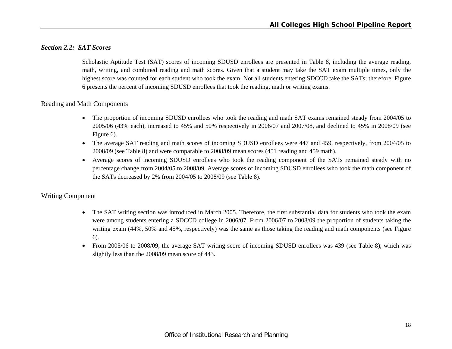# *Section 2.2: SAT Scores*

Scholastic Aptitude Test (SAT) scores of incoming SDUSD enrollees are presented in Table 8, including the average reading, math, writing, and combined reading and math scores. Given that a student may take the SAT exam multiple times, only the highest score was counted for each student who took the exam. Not all students entering SDCCD take the SATs; therefore, Figure 6 presents the percent of incoming SDUSD enrollees that took the reading, math or writing exams.

# Reading and Math Components

- The proportion of incoming SDUSD enrollees who took the reading and math SAT exams remained steady from 2004/05 to 2005/06 (43% each), increased to 45% and 50% respectively in 2006/07 and 2007/08, and declined to 45% in 2008/09 (see Figure 6).
- The average SAT reading and math scores of incoming SDUSD enrollees were 447 and 459, respectively, from 2004/05 to 2008/09 (see Table 8) and were comparable to 2008/09 mean scores (451 reading and 459 math).
- Average scores of incoming SDUSD enrollees who took the reading component of the SATs remained steady with no percentage change from 2004/05 to 2008/09. Average scores of incoming SDUSD enrollees who took the math component of the SATs decreased by 2% from 2004/05 to 2008/09 (see Table 8).

# Writing Component

- The SAT writing section was introduced in March 2005. Therefore, the first substantial data for students who took the exam were among students entering a SDCCD college in 2006/07. From 2006/07 to 2008/09 the proportion of students taking the writing exam (44%, 50% and 45%, respectively) was the same as those taking the reading and math components (see Figure 6).
- From 2005/06 to 2008/09, the average SAT writing score of incoming SDUSD enrollees was 439 (see Table 8), which was slightly less than the 2008/09 mean score of 443.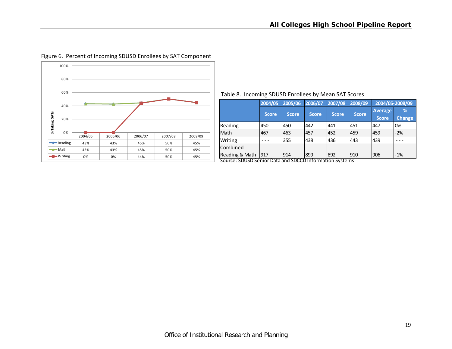

#### Figure 6. Percent of Incoming SDUSD Enrollees by SAT Component

#### Table 8. Incoming SDUSD Enrollees by Mean SAT Scores

|                 | 2004/05      | 2005/06      | 2006/07      | 2007/08      | 2008/09      | 2004/05-2008/09         |                    |
|-----------------|--------------|--------------|--------------|--------------|--------------|-------------------------|--------------------|
|                 | <b>Score</b> | <b>Score</b> | <b>Score</b> | <b>Score</b> | <b>Score</b> | <b>Average</b><br>Score | %<br><b>Change</b> |
| Reading         | 450          | 450          | 442          | 441          | 451          | 1447                    | 0%                 |
| Math            | 467          | 463          | 457          | 452          | 459          | 1459                    | $-2%$              |
| Writing         |              | 355          | 438          | 436          | 443          | 1439                    |                    |
| <b>Combined</b> |              |              |              |              |              |                         |                    |
| Reading & Math  | 917          | 914          | 899          | 892          | 910          | 906                     | $-1%$              |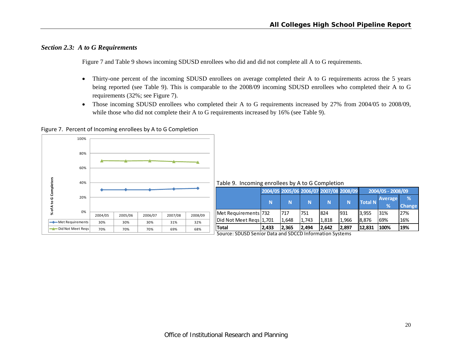# *Section 2.3: A to G Requirements*

Figure 7 and Table 9 shows incoming SDUSD enrollees who did and did not complete all A to G requirements.

- $\bullet$  Thirty-one percent of the incoming SDUSD enrollees on average completed their A to G requirements across the 5 years being reported (see Table 9). This is comparable to the 2008/09 incoming SDUSD enrollees who completed their A to G requirements (32%; see Figure 7).
- $\bullet$  Those incoming SDUSD enrollees who completed their A to G requirements increased by 27% from 2004/05 to 2008/09, while those who did not complete their A to G requirements increased by 16% (see Table 9).

Figure 7. Percent of Incoming enrollees by A to G Completion

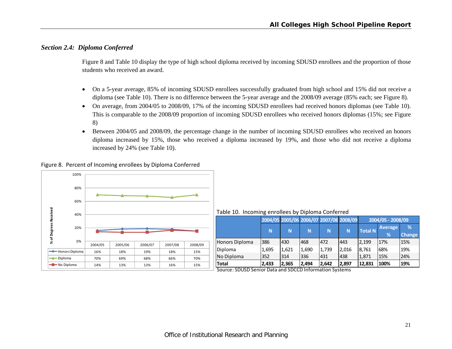# *Section 2.4: Diploma Conferred*

Figure 8 and Table 10 display the type of high school diploma received by incoming SDUSD enrollees and the proportion of those students who received an award.

- $\bullet$  On a 5-year average, 85% of incoming SDUSD enrollees successfully graduated from high school and 15% did not receive a diploma (see Table 10). There is no difference between the 5-year average and the 2008/09 average (85% each; see Figure 8).
- $\bullet$  On average, from 2004/05 to 2008/09, 17% of the incoming SDUSD enrollees had received honors diplomas (see Table 10). This is comparable to the 2008/09 proportion of incoming SDUSD enrollees who received honors diplomas (15%; see Figure 8)
- $\bullet$  Between 2004/05 and 2008/09, the percentage change in the number of incoming SDUSD enrollees who received an honors diploma increased by 15%, those who received a diploma increased by 19%, and those who did not receive a diploma increased by 24% (see Table 10).

Figure 8. Percent of Incoming enrollees by Diploma Conferred



Table 10. Incoming enrollees by Diploma Conferred

|                |       |       | 2004/05 2005/06 2006/07 2007/08 2008/09 |       |          | 2004/05 - 2008/09 |                     |                    |  |  |
|----------------|-------|-------|-----------------------------------------|-------|----------|-------------------|---------------------|--------------------|--|--|
|                | N     | N     | N                                       | N     | <b>N</b> | <b>Total N</b>    | <b>Average</b><br>% | %<br><b>Change</b> |  |  |
| Honors Diploma | 386   | 430   | 468                                     | 472   | 443      | 12.199            | 17%                 | 15%                |  |  |
| Diploma        | 1,695 | 1,621 | 1,690                                   | 1,739 | 2,016    | 18.761            | 68%                 | 19%                |  |  |
| No Diploma     | 352   | 314   | 336                                     | 431   | 438      | 1.871             | 15%                 | 24%                |  |  |
| <b>Total</b>   | 2,433 | 2,365 | 2,494                                   | 2,642 | 2,897    | 12,831            | 100%                | 19%                |  |  |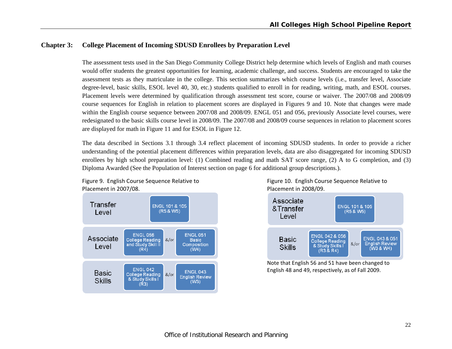# **Chapter 3: College Placement of Incoming SDUSD Enrollees by Preparation Level**

The assessment tests used in the San Diego Community College District help determine which levels of English and math courses would offer students the greatest opportunities for learning, academic challenge, and success. Students are encouraged to take the assessment tests as they matriculate in the college. This section summarizes which course levels (i.e., transfer level, Associate degree-level, basic skills, ESOL level 40, 30, etc.) students qualified to enroll in for reading, writing, math, and ESOL courses. Placement levels were determined by qualification through assessment test score, course or waiver. The 2007/08 and 2008/09 course sequences for English in relation to placement scores are displayed in Figures 9 and 10. Note that changes were made within the English course sequence between 2007/08 and 2008/09. ENGL 051 and 056, previously Associate level courses, were redesignated to the basic skills course level in 2008/09. The 2007/08 and 2008/09 course sequences in relation to placement scores are displayed for math in Figure 11 and for ESOL in Figure 12.

The data described in Sections 3.1 through 3.4 reflect placement of incoming SDUSD students. In order to provide a richer understanding of the potential placement differences within preparation levels, data are also disaggregated for incoming SDUSD enrollees by high school preparation level: (1) Combined reading and math SAT score range, (2) A to G completion, and (3) Diploma Awarded (See the Population of Interest section on page 6 for additional group descriptions.).



Figure 9. English Course Sequence Relative to Figure 10. English Course Sequence Relative to 2007/08. Placement in 2008/09.



Note that English 56 and 51 have been changed to English 48 and 49, respectively, as of Fall 2009.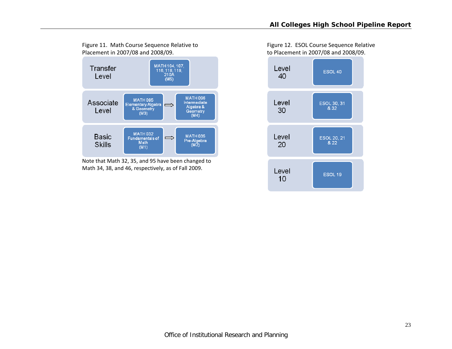

Note that Math 32, 35, and 95 have been changed to Math 34, 38, and 46, respectively, as of Fall 2009.

Figure 11. Math Course Sequence Relative to Figure 12. ESOL Course Sequence Relative 2007/08 and 2008/09. to Placement in 2007/08 and 2008/09.

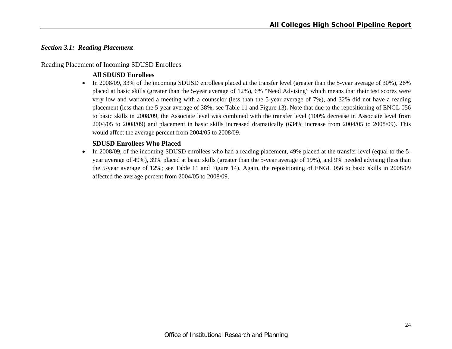#### *Section 3.1: Reading Placement*

# Reading Placement of Incoming SDUSD Enrollees

# **All SDUSD Enrollees**

In 2008/09, 33% of the incoming SDUSD enrollees placed at the transfer level (greater than the 5-year average of 30%), 26% placed at basic skills (greater than the 5-year average of 12%), 6% "Need Advising" which means that their test scores were very low and warranted a meeting with a counselor (less than the 5-year average of 7%), and 32% did not have a reading placement (less than the 5-year average of 38%; see Table 11 and Figure 13). Note that due to the repositioning of ENGL 056 to basic skills in 2008/09, the Associate level was combined with the transfer level (100% decrease in Associate level from 2004/05 to 2008/09) and placement in basic skills increased dramatically (634% increase from 2004/05 to 2008/09). This would affect the average percent from 2004/05 to 2008/09.

# **SDUSD Enrollees Who Placed**

In 2008/09, of the incoming SDUSD enrollees who had a reading placement, 49% placed at the transfer level (equal to the 5year average of 49%), 39% placed at basic skills (greater than the 5-year average of 19%), and 9% needed advising (less than the 5-year average of 12%; see Table 11 and Figure 14). Again, the repositioning of ENGL 056 to basic skills in 2008/09 affected the average percent from 2004/05 to 2008/09.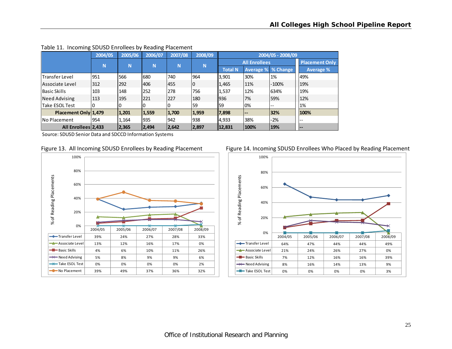|                      | 2004/05 | 2005/06 | 2006/07 | 2007/08 | 2008/09 |                |                           | 2004/05 - 2008/09 |                       |
|----------------------|---------|---------|---------|---------|---------|----------------|---------------------------|-------------------|-----------------------|
|                      | N       | N       | N       | N       | N       |                | <b>All Enrollees</b>      |                   | <b>Placement Only</b> |
|                      |         |         |         |         |         | <b>Total N</b> | <b>Average % % Change</b> |                   | Average %             |
| lTransfer Level      | 951     | 566     | 680     | 740     | 964     | 3,901          | 30%                       | 1%                | 49%                   |
| Associate Level      | 312     | 292     | 406     | 455     | 0       | 1,465          | 11%                       | $-100%$           | 19%                   |
| <b>Basic Skills</b>  | 103     | 148     | 252     | 278     | 756     | 1,537          | 12%                       | 634%              | 19%                   |
| <b>Need Advising</b> | 113     | 195     | 221     | 227     | 180     | 1936           | 7%                        | 59%               | 12%                   |
| Take ESOL Test       |         |         |         |         | 59      | 159            | 0%                        | $- -$             | 1%                    |
| Placement Only 1,479 |         | 1,201   | 1,559   | 1,700   | 1,959   | 7,898          | $- -$                     | 32%               | 100%                  |
| <b>No Placement</b>  | 954     | 1,164   | 935     | 942     | 938     | 4,933          | 38%                       | $-2%$             | $- -$                 |
| All Enrollees 2,433  |         | 2,365   | 2,494   | 2,642   | 2,897   | 12,831         | 100%                      | 19%               | l – –                 |

#### Table 11. Incoming SDUSD Enrollees by Reading Placement







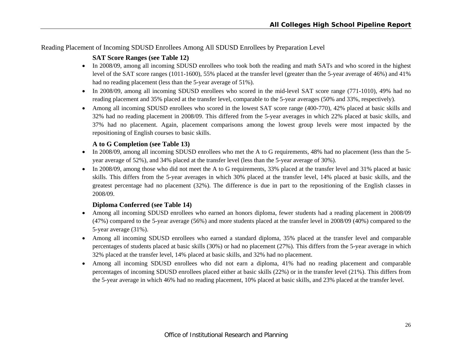Reading Placement of Incoming SDUSD Enrollees Among All SDUSD Enrollees by Preparation Level

# **SAT Score Ranges (see Table 12)**

- In 2008/09, among all incoming SDUSD enrollees who took both the reading and math SATs and who scored in the highest level of the SAT score ranges (1011-1600), 55% placed at the transfer level (greater than the 5-year average of 46%) and 41% had no reading placement (less than the 5-year average of 51%).
- In 2008/09, among all incoming SDUSD enrollees who scored in the mid-level SAT score range (771-1010), 49% had no reading placement and 35% placed at the transfer level, comparable to the 5-year averages (50% and 33%, respectively).
- Among all incoming SDUSD enrollees who scored in the lowest SAT score range (400-770), 42% placed at basic skills and 32% had no reading placement in 2008/09. This differed from the 5-year averages in which 22% placed at basic skills, and 37% had no placement. Again, placement comparisons among the lowest group levels were most impacted by the repositioning of English courses to basic skills.

# **A to G Completion (see Table 13)**

- In 2008/09, among all incoming SDUSD enrollees who met the A to G requirements, 48% had no placement (less than the 5year average of 52%), and 34% placed at the transfer level (less than the 5-year average of 30%).
- In 2008/09, among those who did not meet the A to G requirements, 33% placed at the transfer level and 31% placed at basic skills. This differs from the 5-year averages in which 30% placed at the transfer level, 14% placed at basic skills, and the greatest percentage had no placement (32%). The difference is due in part to the repositioning of the English classes in 2008/09.

# **Diploma Conferred (see Table 14)**

- Among all incoming SDUSD enrollees who earned an honors diploma, fewer students had a reading placement in 2008/09 (47%) compared to the 5-year average (56%) and more students placed at the transfer level in 2008/09 (40%) compared to the 5-year average (31%).
- Among all incoming SDUSD enrollees who earned a standard diploma, 35% placed at the transfer level and comparable percentages of students placed at basic skills (30%) or had no placement (27%). This differs from the 5-year average in which 32% placed at the transfer level, 14% placed at basic skills, and 32% had no placement.
- Among all incoming SDUSD enrollees who did not earn a diploma, 41% had no reading placement and comparable percentages of incoming SDUSD enrollees placed either at basic skills (22%) or in the transfer level (21%). This differs from the 5-year average in which 46% had no reading placement, 10% placed at basic skills, and 23% placed at the transfer level.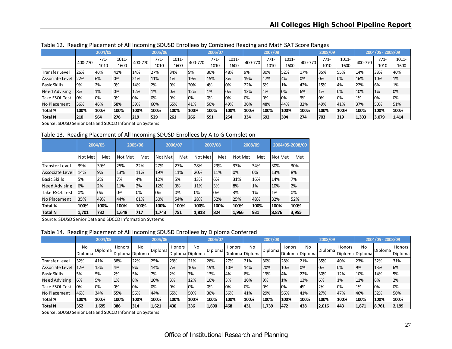|                       | ັ         | 2004/05 |       |         | ີ<br>2005/06 |       | 2006/07 |        |       | ີ       | 2007/08 |       |         | 2008/09 |       | 2004/05 - 2008/09 |        |       |
|-----------------------|-----------|---------|-------|---------|--------------|-------|---------|--------|-------|---------|---------|-------|---------|---------|-------|-------------------|--------|-------|
|                       | 400-770   | $771-$  | 1011- | 400-770 | 771-         | 1011- | 400-770 | $771-$ | 1011- | 400-770 | $771-$  | 1011- | 400-770 | $771-$  | 1011- | 400-770           | $771-$ | 1011- |
|                       |           | 1010    | 1600  |         | 1010         | 1600  |         | 1010   | 1600  |         | 1010    | 1600  |         | 1010    | 1600  |                   | 1010   | 1600  |
| <b>Transfer Level</b> | 26%       | 46%     | 41%   | 14%     | 27%          | 34%   | 9%      | 30%    | 48%   | 9%      | 30%     | 52%   | 17%     | 35%     | 55%   | 14%               | 33%    | 46%   |
| Associate Level       | 22%       | 6%      | 0%    | 21%     | 11%          | 1%    | 19%     | 15%    | 3%    | 19%     | 17%     | 4%    | 0%      | 0%      | 0%    | 16%               | 10%    | 1%    |
| <b>Basic Skills</b>   | <b>9%</b> | 2%      | 0%    | 14%     | 2%           | 10%   | 20%     | 4%     | 0%    | 22%     | 5%      | 1%    | 42%     | 15%     | 4%    | 22%               | 6%     | 1%    |
| <b>Need Advising</b>  | 8%        | 1%      | 0%    | 12%     | 1%           | 10%   | 12%     | 1%     | 0%    | 13%     | 1%      | 0%    | 6%      | 1%      | 0%    | 10%               | 1%     | 0%    |
| Take ESOL Test        | 0%        | 0%      | 0%    | 0%      | 10%          | 10%   | 0%      | 0%     | 0%    | 0%      | 0%      | 0%    | 3%      | 0%      | 0%    | 1%                | 0%     | 0%    |
| No Placement          | 36%       | 46%     | 58%   | 39%     | 60%          | 65%   | 41%     | 50%    | 49%   | 36%     | 48%     | 44%   | 32%     | 49%     | 41%   | 37%               | 50%    | 51%   |
| Total %               | 100%      | 100%    | 100%  | 100%    | 100%         | 100%  | 100%    | 100%   | 100%  | 100%    | 100%    | 100%  | 100%    | 100%    | 100%  | 100%              | 100%   | 100%  |
| Total N               | 210       | 564     | 276   | 219     | 529          | 261   | 266     | 591    | 254   | 334     | 692     | 304   | 274     | 703     | 319   | 1,303             | 3,079  | 1,414 |

Table 12. Reading Placement of All Incoming SDUSD Enrollees by Combined Reading and Math SAT Score Ranges

Source: SDUSD Senior Data and SDCCD Information Systems

Table 13. Reading Placement of All Incoming SDUSD Enrollees by A to G Completion

|                        |         | 2004/05 |         | 2005/06 |         | 2006/07 |         | 2007/08 |         | 2008/09 |         | 2004/05-2008/09 |
|------------------------|---------|---------|---------|---------|---------|---------|---------|---------|---------|---------|---------|-----------------|
|                        | Not Met | Met     | Not Met | Met     | Not Met | Met     | Not Met | Met     | Not Met | Met     | Not Met | Met             |
| <b>ITransfer Level</b> | 39%     | 39%     | 25%     | 22%     | 27%     | 27%     | 28%     | 29%     | 33%     | 34%     | 30%     | 30%             |
| Associate Level        | 14%     | 9%      | 13%     | 11%     | 19%     | 11%     | 20%     | 11%     | 0%      | 0%      | 13%     | 8%              |
| <b>Basic Skills</b>    | 5%      | 2%      | 7%      | 4%      | 12%     | 5%      | 13%     | 6%      | 31%     | 16%     | 14%     | 7%              |
| <b>Need Advising</b>   | 6%      | 2%      | 11%     | 2%      | 12%     | 3%      | 11%     | 3%      | 8%      | 1%      | 10%     | 2%              |
| Take ESOL Test         | 0%      | 0%      | 0%      | 0%      | 0%      | 0%      | 0%      | 0%      | 3%      | 1%      | 1%      | 0%              |
| No Placement           | 35%     | 49%     | 44%     | 61%     | 30%     | 54%     | 28%     | 52%     | 25%     | 48%     | 32%     | 52%             |
| Total %                | 100%    | 100%    | 100%    | 100%    | 100%    | 100%    | 100%    | 100%    | 100%    | 100%    | 100%    | 100%            |
| Total N                | 1,701   | 732     | 1,648   | 717     | 1,743   | 751     | 1,818   | 824     | 1,966   | 931     | 8,876   | 3,955           |

Source: SDUSD Senior Data and SDCCD Information Systems

Table 14. Reading Placement of All Incoming SDUSD Enrollees by Diploma Conferred

|                     |                      | 2004/05 |        |                       | 2005/06 |                           |      | 2006/07  |        |                       | 2007/08        |        |                       | 2008/09        |        |                        | 2004/05 - 2008/09 |                   |
|---------------------|----------------------|---------|--------|-----------------------|---------|---------------------------|------|----------|--------|-----------------------|----------------|--------|-----------------------|----------------|--------|------------------------|-------------------|-------------------|
|                     | No<br><b>Diploma</b> | Diploma | Honors | No<br>Diploma Diploma | Diploma | Honors<br>Diploma Diploma | No   | Diplomal | Honors | No<br>Diploma Diploma | <b>Diploma</b> | Honors | No<br>Diploma Diploma | <b>Diploma</b> | Honors | No.<br>Diploma Diploma | Diploma           | Honors<br>Diploma |
| Transfer Level      | 32%                  | 41%     | 38%    | 22%                   | 25%     | 23%                       | 21%  | 28%      | 27%    | 21%                   | 30%            | 28%    | 21%                   | 35%            | 40%    | 23%                    | 32%               | 31%               |
| Associate Level     | 12%                  | 15%     | 4%     | 9%                    | 14%     | 7%                        | 10%  | 19%      | 10%    | 14%                   | 20%            | 10%    | 0%                    | 0%             | 0%     | 9%                     | 13%               | 6%                |
| <b>Basic Skills</b> | 5%                   | 5%      | 2%     | 5%                    | 7%      | 2%                        | 7%   | 13%      | 4%     | 8%                    | 13%            | 4%     | 22%                   | 30%            | 12%    | 10%                    | 14%               | 5%                |
| Need Advising       | 6%                   | 5%      | 1%     | 8%                    | 10%     | 3%                        | 12%  | 10%      | 3%     | 16%                   | 9%             | 1%     | 13%                   | 6%             | 1%     | 11%                    | 8%                | 2%                |
| Take ESOL Test      | 0%                   | 0%      | 0%     | 0%                    | 10%     | 10%                       | 0%   | 0%       | 0%     | 0%                    | 0%             | 0%     | 4%                    | 2%             | 0%     | 1%                     | 0%                | 0%                |
| No Placement        | 46%                  | 34%     | 55%    | 56%                   | 44%     | 65%                       | 50%  | 30%      | 56%    | 41%                   | 29%            | 56%    | 41%                   | 27%            | 47%    | 46%                    | 32%               | 56%               |
| Total %             | 100%                 | 100%    | 100%   | 100%                  | 100%    | 100%                      | 100% | 100%     | 100%   | 100%                  | 100%           | 100%   | 100%                  | 100%           | 100%   | 100%                   | 100%              | 100%              |
| <b>Total N</b>      | 352                  | 1,695   | 386    | 314                   | 1.621   | 1430                      | 336  | 1,690    | 468    | 1431                  | 1,739          | 472    | 438                   | 2,016          | 1443   | 1,871                  | 8,761             | 2,199             |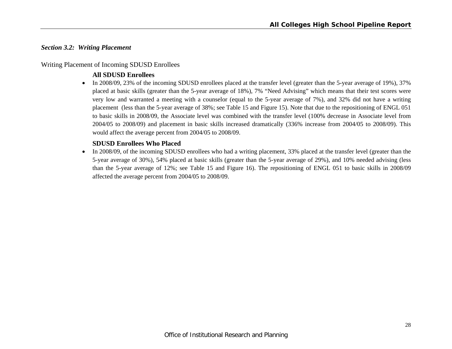#### *Section 3.2: Writing Placement*

#### Writing Placement of Incoming SDUSD Enrollees

# **All SDUSD Enrollees**

In 2008/09, 23% of the incoming SDUSD enrollees placed at the transfer level (greater than the 5-year average of 19%), 37% placed at basic skills (greater than the 5-year average of 18%), 7% "Need Advising" which means that their test scores were very low and warranted a meeting with a counselor (equal to the 5-year average of 7%), and 32% did not have a writing placement (less than the 5-year average of 38%; see Table 15 and Figure 15). Note that due to the repositioning of ENGL 051 to basic skills in 2008/09, the Associate level was combined with the transfer level (100% decrease in Associate level from 2004/05 to 2008/09) and placement in basic skills increased dramatically (336% increase from 2004/05 to 2008/09). This would affect the average percent from 2004/05 to 2008/09.

# **SDUSD Enrollees Who Placed**

• In 2008/09, of the incoming SDUSD enrollees who had a writing placement, 33% placed at the transfer level (greater than the 5-year average of 30%), 54% placed at basic skills (greater than the 5-year average of 29%), and 10% needed advising (less than the 5-year average of 12%; see Table 15 and Figure 16). The repositioning of ENGL 051 to basic skills in 2008/09 affected the average percent from 2004/05 to 2008/09.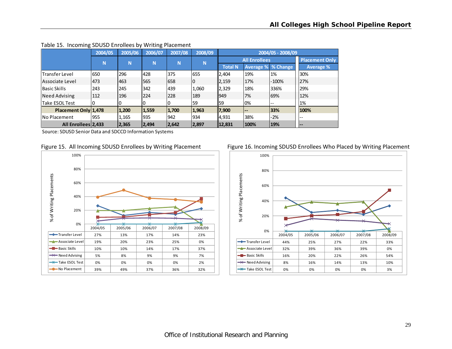|                       | 2004/05 | 2005/06 | ັ<br>2006/07 | 2007/08 | 2008/09  |                |                      | 2004/05 - 2008/09 |                       |
|-----------------------|---------|---------|--------------|---------|----------|----------------|----------------------|-------------------|-----------------------|
|                       | N       | N       | N            | N       | <b>N</b> |                | <b>All Enrollees</b> |                   | <b>Placement Only</b> |
|                       |         |         |              |         |          | <b>Total N</b> | Average % % Change   |                   | <b>Average %</b>      |
| <b>Transfer Level</b> | 650     | 296     | 428          | 375     | 655      | 2,404          | 19%                  | 1%                | 30%                   |
| lAssociate Level      | 473     | 463     | 565          | 658     | 0        | 2,159          | 17%                  | $-100%$           | 27%                   |
| <b>Basic Skills</b>   | 243     | 245     | 342          | 439     | 1,060    | 2,329          | 18%                  | 336%              | 29%                   |
| Need Advising         | 112     | 196     | 224          | 228     | 189      | 1949           | 7%                   | 69%               | 12%                   |
| Take ESOL Test        |         |         |              | υ       | 59       | 59             | 0%                   | --                | 1%                    |
| Placement Only 1,478  |         | 1,200   | 1,559        | 1,700   | 1,963    | 7,900          | --                   | 33%               | 100%                  |
| INo Placement         | 955     | 1,165   | 935          | 942     | 934      | 4,931          | 38%                  | -2%               | ı – –                 |
| All Enrollees 2,433   |         | 2,365   | 2,494        | 2,642   | 2,897    | 12,831         | 100%                 | 19%               | $- -$                 |

#### Table 15. Incoming SDUSD Enrollees by Writing Placement





Figure 15. All Incoming SDUSD Enrollees by Writing Placement Figure 16. Incoming SDUSD Enrollees Who Placed by Writing Placement

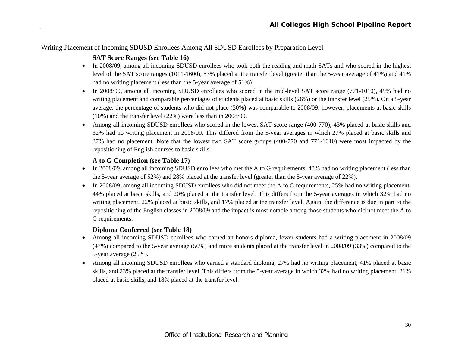Writing Placement of Incoming SDUSD Enrollees Among All SDUSD Enrollees by Preparation Level

# **SAT Score Ranges (see Table 16)**

- In 2008/09, among all incoming SDUSD enrollees who took both the reading and math SATs and who scored in the highest level of the SAT score ranges (1011-1600), 53% placed at the transfer level (greater than the 5-year average of 41%) and 41% had no writing placement (less than the 5-year average of 51%).
- In 2008/09, among all incoming SDUSD enrollees who scored in the mid-level SAT score range (771-1010), 49% had no writing placement and comparable percentages of students placed at basic skills (26%) or the transfer level (25%). On a 5-year average, the percentage of students who did not place (50%) was comparable to 2008/09; however, placements at basic skills (10%) and the transfer level (22%) were less than in 2008/09.
- Among all incoming SDUSD enrollees who scored in the lowest SAT score range (400-770), 43% placed at basic skills and 32% had no writing placement in 2008/09. This differed from the 5-year averages in which 27% placed at basic skills and 37% had no placement. Note that the lowest two SAT score groups (400-770 and 771-1010) were most impacted by the repositioning of English courses to basic skills.

# **A to G Completion (see Table 17)**

- In 2008/09, among all incoming SDUSD enrollees who met the A to G requirements, 48% had no writing placement (less than the 5-year average of 52%) and 28% placed at the transfer level (greater than the 5-year average of 22%).
- In 2008/09, among all incoming SDUSD enrollees who did not meet the A to G requirements, 25% had no writing placement, 44% placed at basic skills, and 20% placed at the transfer level. This differs from the 5-year averages in which 32% had no writing placement, 22% placed at basic skills, and 17% placed at the transfer level. Again, the difference is due in part to the repositioning of the English classes in 2008/09 and the impact is most notable among those students who did not meet the A to G requirements.

# **Diploma Conferred (see Table 18)**

- e Among all incoming SDUSD enrollees who earned an honors diploma, fewer students had a writing placement in 2008/09 (47%) compared to the 5-year average (56%) and more students placed at the transfer level in 2008/09 (33%) compared to the 5-year average (25%).
- Among all incoming SDUSD enrollees who earned a standard diploma, 27% had no writing placement, 41% placed at basic skills, and 23% placed at the transfer level. This differs from the 5-year average in which 32% had no writing placement, 21% placed at basic skills, and 18% placed at the transfer level.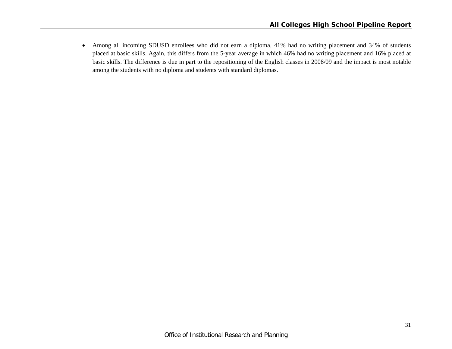$\bullet$  Among all incoming SDUSD enrollees who did not earn a diploma, 41% had no writing placement and 34% of students placed at basic skills. Again, this differs from the 5-year average in which 46% had no writing placement and 16% placed at basic skills. The difference is due in part to the repositioning of the English classes in 2008/09 and the impact is most notable among the students with no diploma and students with standard diplomas.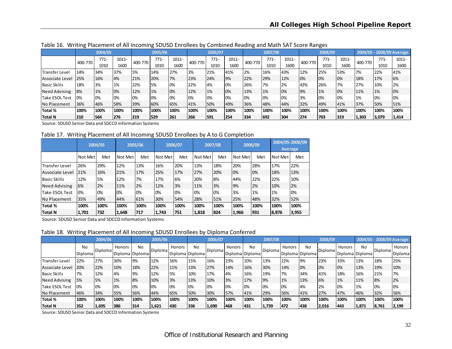|                       | ັ       |         |       |         |         |       |         | ີ       |       |         |         | ັ     |         |         |       |         |       |                           |
|-----------------------|---------|---------|-------|---------|---------|-------|---------|---------|-------|---------|---------|-------|---------|---------|-------|---------|-------|---------------------------|
|                       |         | 2004/05 |       |         | 2005/06 |       |         | 2006/07 |       |         | 2007/08 |       |         | 2008/09 |       |         |       | 2004/05 - 2008/09 Average |
|                       | 400-770 | $771-$  | 1011- | 400-770 | 771-    | 1011- | 400-770 | $771-$  | 1011- | 400-770 | $771-$  | 1011- | 400-770 | $771-$  | 1011- | 400-770 | 771-  | 1011-                     |
|                       |         | 1010    | 1600  |         | 1010    | 1600  |         | 1010    | 1600  |         | 1010    | 1600  |         | 1010    | 1600  |         | 1010  | 1600                      |
| <b>Transfer Level</b> | 14%     | 34%     | 37%   | 5%      | 14%     | 27%   | 3%      | 21%     | 41%   | 2%      | 16%     | 43%   | 12%     | 25%     | 53%   | 7%      | 22%   | 41%                       |
| Associate Level       | 25%     | 16%     | 4%    | 21%     | 20%     | 7%    | 23%     | 24%     | 9%    | 22%     | 29%     | 12%   | 0%      | 0%      | 0%    | 18%     | 17%   | 6%                        |
| <b>Basic Skills</b>   | 18%     | 3%      | 1%    | 22%     | 15%     | 10%   | 22%     | 4%      | 0%    | 26%     | 7%      | 2%    | 43%     | 26%     | 7%    | 27%     | 10%   | 2%                        |
| Need Advising         | 8%      | 1%      | 0%    | 12%     | 1%      | 10%   | 12%     | 1%      | 0%    | 13%     | 1%      | 0%    | 9%      | 1%      | 0%    | 11%     | 1%    | 0%                        |
| Take ESOL Test        | 0%      | 0%      | 0%    | 0%      | 10%     | 10%   | 0%      | 0%      | 0%    | 0%      | 0%      | 0%    | 3%      | 0%      | 0%    | 1%      | 0%    | 0%                        |
| No Placement          | 36%     | 46%     | 58%   | 39%     | 60%     | 65%   | 41%     | 50%     | 49%   | 36%     | 48%     | 44%   | 32%     | 49%     | 41%   | 37%     | 50%   | 51%                       |
| Total %               | 100%    | 100%    | 100%  | 100%    | 100%    | 100%  | 100%    | 100%    | 100%  | 100%    | 100%    | 100%  | 100%    | 100%    | 100%  | 100%    | 100%  | 100%                      |
| Total N               | 210     | 564     | 276   | 219     | 1529    | 261   | 266     | 591     | 254   | 334     | 692     | 304   | 274     | 703     | 319   | 1,303   | 3,079 | 1,414                     |

Table 16. Writing Placement of All Incoming SDUSD Enrollees by Combined Reading and Math SAT Score Ranges

Source: SDUSD Senior Data and SDCCD Information Systems

Table 17. Writing Placement of All Incoming SDUSD Enrollees by A to G Completion

|                        |         | 2004/05 |         | 2005/06 |         | 2006/07 |         | 2007/08 |         | 2008/09 |         | 2004/05-2008/09<br><b>Average</b> |
|------------------------|---------|---------|---------|---------|---------|---------|---------|---------|---------|---------|---------|-----------------------------------|
|                        | Not Met | Met     | Not Met | Met     | Not Met | Met     | Not Met | Met     | Not Met | Met     | Not Met | Met                               |
| <b>ITransfer Level</b> | 26%     | 29%     | 12%     | 13%     | 16%     | 20%     | 13%     | 18%     | 20%     | 28%     | 17%     | 22%                               |
| Associate Level        | 21%     | 16%     | 21%     | 17%     | 25%     | 17%     | 27%     | 20%     | 0%      | 0%      | 18%     | 13%                               |
| <b>Basic Skills</b>    | 12%     | 5%      | 12%     | 7%      | 17%     | 6%      | 20%     | 8%      | 44%     | 22%     | 22%     | 10%                               |
| <b>Need Advising</b>   | 6%      | 2%      | 11%     | 2%      | 12%     | 3%      | 11%     | 3%      | 9%      | 2%      | 10%     | 2%                                |
| <b>Take ESOL Test</b>  | 0%      | 0%      | 0%      | 0%      | 0%      | 0%      | 0%      | 0%      | 3%      | 1%      | 1%      | 0%                                |
| No Placement           | 35%     | 49%     | 44%     | 61%     | 30%     | 54%     | 28%     | 51%     | 25%     | 48%     | 32%     | 52%                               |
| Total %                | 100%    | 100%    | 100%    | 100%    | 100%    | 100%    | 100%    | 100%    | 100%    | 100%    | 100%    | 100%                              |
| Total N                | 1,701   | 732     | 1,648   | 717     | 1,743   | 751     | 1,818   | 824     | 1,966   | 1931    | 8,876   | 3,955                             |

Source: SDUSD Senior Data and SDCCD Information Systems

Table 18. Writing Placement of All Incoming SDUSD Enrollees by Diploma Conferred

|                     |                      | 2004/05 |        |                       | 2005/06 |                           |      | 2006/07 |                           |                | 2007/08 |        |                       | 2008/09        |        |                       |         | 2004/05 - 2008/09 Average |
|---------------------|----------------------|---------|--------|-----------------------|---------|---------------------------|------|---------|---------------------------|----------------|---------|--------|-----------------------|----------------|--------|-----------------------|---------|---------------------------|
|                     | No<br><b>Diploma</b> | Diploma | Honors | No<br>Diploma Diploma | Diploma | Honors<br>Diploma Diploma | No   | Diploma | Honors<br>Diploma Diploma | N <sub>0</sub> | Diploma | Honors | No<br>Diploma Diploma | <b>Diploma</b> | Honors | No<br>Diploma Diploma | Diploma | Honors<br>Diploma         |
| lTransfer Level     | 22%                  | 27%     | 30%    | <b>9%</b>             | 12%     | 16%                       | 15%  | 16%     | 23%                       | 10%            | 13%     | 22%    | 9%                    | 23%            | 33%    | 13%                   | 18%     | 25%                       |
| Associate Level     | 20%                  | 22%     | 10%    | 18%                   | 22%     | 11%                       | 13%  | 27%     | 14%                       | 16%            | 30%     | 14%    | 0%                    | 0%             | 0%     | 13%                   | 19%     | 10%                       |
| <b>Basic Skills</b> | 7%                   | 12%     | 4%     | 9%                    | 12%     | 5%                        | 10%  | 17%     | 4%                        | 16%            | 19%     | 7%     | 34%                   | 41%            | 18%    | 16%                   | 21%     | 7%                        |
| Need Advising       | 5%                   | 5%      | 1%     | 8%                    | 10%     | 3%                        | 13%  | 10%     | 3%                        | 17%            | 9%      | 1%     | 13%                   | 6%             | 1%     | 11%                   | 8%      | 2%                        |
| Take ESOL Test      | 0%                   | 0%      | 0%     | 0%                    | 10%     | 10%                       | 0%   | 0%      | 0%                        | 0%             | 0%      | 0%     | 4%                    | 2%             | 0%     | 1%                    | 0%      | 0%                        |
| No Placement        | 46%                  | 34%     | 55%    | 56%                   | 44%     | 65%                       | 50%  | 30%     | 57%                       | 41%            | 29%     | 56%    | 41%                   | 27%            | 47%    | 46%                   | 32%     | 56%                       |
| Total %             | 100%                 | 100%    | 100%   | 100%                  | 100%    | 100%                      | 100% | 100%    | 100%                      | 100%           | 100%    | 100%   | 100%                  | 100%           | 100%   | 100%                  | 100%    | 100%                      |
| Total N             | 352                  | 1,695   | 386    | 314                   | 1,621   | 1430                      | 336  | 1,690   | 468                       | 1431           | 1,739   | 472    | 438                   | 2,016          | 1443   | 1,871                 | 8,761   | 2,199                     |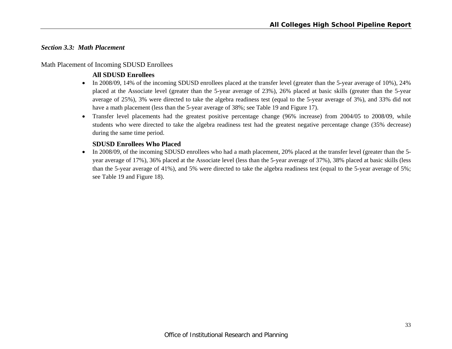# *Section 3.3: Math Placement*

#### Math Placement of Incoming SDUSD Enrollees

# **All SDUSD Enrollees**

- In 2008/09, 14% of the incoming SDUSD enrollees placed at the transfer level (greater than the 5-year average of 10%), 24% placed at the Associate level (greater than the 5-year average of 23%), 26% placed at basic skills (greater than the 5-year average of 25%), 3% were directed to take the algebra readiness test (equal to the 5-year average of 3%), and 33% did not have a math placement (less than the 5-year average of 38%; see Table 19 and Figure 17).
- Transfer level placements had the greatest positive percentage change (96% increase) from 2004/05 to 2008/09, while students who were directed to take the algebra readiness test had the greatest negative percentage change (35% decrease) during the same time period.

# **SDUSD Enrollees Who Placed**

• In 2008/09, of the incoming SDUSD enrollees who had a math placement, 20% placed at the transfer level (greater than the 5year average of 17%), 36% placed at the Associate level (less than the 5-year average of 37%), 38% placed at basic skills (less than the 5-year average of 41%), and 5% were directed to take the algebra readiness test (equal to the 5-year average of 5%; see Table 19 and Figure 18).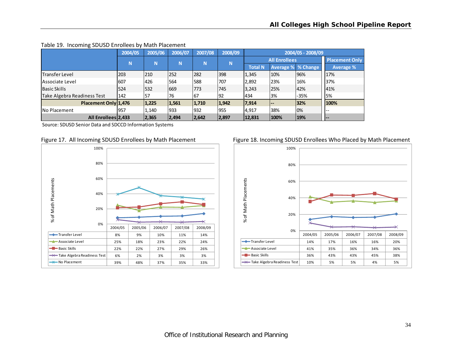|                             | 2004/05 | 2005/06 | 2006/07 | 2007/08 | 2008/09  |                |                           | 2004/05 - 2008/09 |                       |
|-----------------------------|---------|---------|---------|---------|----------|----------------|---------------------------|-------------------|-----------------------|
|                             | N       | N       | N       | N       | <b>N</b> |                | <b>All Enrollees</b>      |                   | <b>Placement Only</b> |
|                             |         |         |         |         |          | <b>Total N</b> | <b>Average % % Change</b> |                   | <b>Average %</b>      |
| <b>Transfer Level</b>       | 203     | 210     | 252     | 282     | 398      | 1,345          | 10%                       | 96%               | 17%                   |
| lAssociate Level            | 607     | 426     | 564     | 588     | 707      | 2,892          | 23%                       | 16%               | 37%                   |
| l Basic Skills              | 524     | 532     | 1669    | 773     | 745      | 3,243          | 25%                       | 42%               | 41%                   |
| Take Algebra Readiness Test | 142     | 157     | 76      | 167     | 192      | 434            | 3%                        | $-35%$            | 5%                    |
| Placement Only 1,476        |         | 1,225   | 1,561   | 1,710   | 1,942    | 17,914         | $- -$                     | 32%               | 100%                  |
| No Placement                | 957     | 1,140   | 1933    | 932     | 955      | 4,917          | 38%                       | $0\%$             | $- -$                 |
| All Enrollees 2,433         |         | 2,365   | 2,494   | 2,642   | 2,897    | 12,831         | 100%                      | 19%               | <b>1--</b>            |

#### Table 19. Incoming SDUSD Enrollees by Math Placement

Source: SDUSD Senior Data and SDCCD Information Systems



#### Figure 17. All Incoming SDUSD Enrollees by Math Placement Figure 18. Incoming SDUSD Enrollees Who Placed by Math Placement

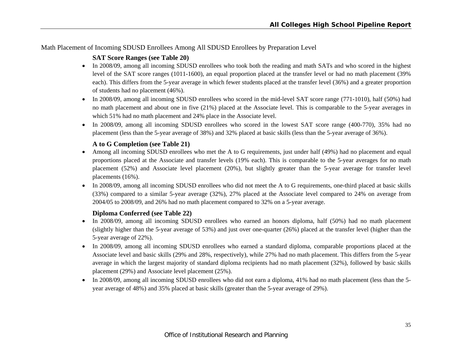#### Math Placement of Incoming SDUSD Enrollees Among All SDUSD Enrollees by Preparation Level

#### **SAT Score Ranges (see Table 20)**

- In 2008/09, among all incoming SDUSD enrollees who took both the reading and math SATs and who scored in the highest level of the SAT score ranges (1011-1600), an equal proportion placed at the transfer level or had no math placement (39% each). This differs from the 5-year average in which fewer students placed at the transfer level (36%) and a greater proportion of students had no placement (46%).
- In 2008/09, among all incoming SDUSD enrollees who scored in the mid-level SAT score range (771-1010), half (50%) had no math placement and about one in five (21%) placed at the Associate level. This is comparable to the 5-year averages in which 51% had no math placement and 24% place in the Associate level.
- In 2008/09, among all incoming SDUSD enrollees who scored in the lowest SAT score range (400-770), 35% had no placement (less than the 5-year average of 38%) and 32% placed at basic skills (less than the 5-year average of 36%).

#### **A to G Completion (see Table 21)**

- Among all incoming SDUSD enrollees who met the A to G requirements, just under half (49%) had no placement and equal proportions placed at the Associate and transfer levels (19% each). This is comparable to the 5-year averages for no math placement (52%) and Associate level placement (20%), but slightly greater than the 5-year average for transfer level placements (16%).
- In 2008/09, among all incoming SDUSD enrollees who did not meet the A to G requirements, one-third placed at basic skills (33%) compared to a similar 5-year average (32%), 27% placed at the Associate level compared to 24% on average from 2004/05 to 2008/09, and 26% had no math placement compared to 32% on a 5-year average.

#### **Diploma Conferred (see Table 22)**

- In 2008/09, among all incoming SDUSD enrollees who earned an honors diploma, half (50%) had no math placement (slightly higher than the 5-year average of 53%) and just over one-quarter (26%) placed at the transfer level (higher than the 5-year average of 22%).
- In 2008/09, among all incoming SDUSD enrollees who earned a standard diploma, comparable proportions placed at the Associate level and basic skills (29% and 28%, respectively), while 27% had no math placement. This differs from the 5-year average in which the largest majority of standard diploma recipients had no math placement (32%), followed by basic skills placement (29%) and Associate level placement (25%).
- e In 2008/09, among all incoming SDUSD enrollees who did not earn a diploma, 41% had no math placement (less than the 5 year average of 48%) and 35% placed at basic skills (greater than the 5-year average of 29%).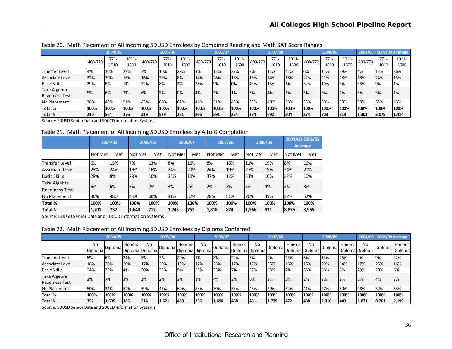|                       |         | 2004/05 |       |         | 2005/06 |          |         | 2006/07 |          |         | 2007/08 |          |         | 2008/09 |       |         | 2004/05 - 2008/09 Average |          |
|-----------------------|---------|---------|-------|---------|---------|----------|---------|---------|----------|---------|---------|----------|---------|---------|-------|---------|---------------------------|----------|
|                       | 400-770 | $771-$  | 1011- | 400-770 | $771-$  | $1011 -$ | 400-770 | $771-$  | $1011 -$ | 400-770 | $771-$  | $1011 -$ | 400-770 | $771-$  | 1011- | 400-770 | $771-$                    | $1011 -$ |
|                       |         | 1010    | 1600  |         | 1010    | 1600     |         | 1010    | 1600     |         | 1010    | 1600     |         | 1010    | 1600  |         | 1010                      | 1600     |
| Transfer Level        | 4%      | 10%     | 29%   | 3%      | 10%     | 28%      | 3%      | 12%     | 37%      | 2%      | 11%     | 42%      | 6%      | 15%     | 39%   | 4%      | 12%                       | 36%      |
| Associate Level       | 22%     | 30%     | 16%   | 16%     | 20%     | 8%       | 14%     | 26%     | 18%      | 15%     | 24%     | 18%      | 22%     | 21%     | 18%   | 18%     | 24%                       | 16%      |
| <b>Basic Skills</b>   | 29%     | 6%      | 1%    | 32%     | 8%      | 2%       | 38%     | 9%      | 0%       | 43%     | 13%     | 1%       | 32%     | 10%     | 3%    | 36%     | 9%                        | 1%       |
| Take Algebra          | 9%      | 6%      | 3%    | 6%      | 2%      | 0%       | 4%      | 3%      | $1\%$    | 3%      | 4%      | 1%       | 5%      | 3%      | 1%    | 5%      | 3%                        | 1%       |
| <b>Readiness Test</b> |         |         |       |         |         |          |         |         |          |         |         |          |         |         |       |         |                           |          |
| No Placement          | 36%     | 48%     | 51%   | 43%     | 60%     | 62%      | 41%     | 51%     | 43%      | 37%     | 48%     | 38%      | 35%     | 50%     | 39%   | 38%     | 51%                       | 46%      |
| <b>Total %</b>        | 100%    | 100%    | 100%  | 100%    | 100%    | 100%     | 100%    | 100%    | 100%     | 100%    | 100%    | 100%     | 100%    | 100%    | 100%  | 100%    | 100%                      | 100%     |
| Total N               | 210     | 564     | 1276  | 219     | 529     | 261      | 266     | 1591    | 1254     | 334     | 692     | 304      | 274     | 703     | 319   | 1,303   | 3,079                     | 1,414    |

Table 20. Math Placement of All Incoming SDUSD Enrollees by Combined Reading and Math SAT Score Ranges

Source: SDUSD Senior Data and SDCCD Information Systems

#### Table 21. Math Placement of All Incoming SDUSD Enrollees by A to G Completion

|                       |         | 2004/05 |         | 2005/06 |         | 2006/07 |         | 2007/08 |         | 2008/09 |         | 2004/05-2008/09<br><b>Average</b> |
|-----------------------|---------|---------|---------|---------|---------|---------|---------|---------|---------|---------|---------|-----------------------------------|
|                       | Not Met | Met     | Not Met | Met     | Not Met | Met     | Not Met | Met     | Not Met | Met     | Not Met | Met                               |
| Transfer Level        | 6%      | 15%     | 7%      | 13%     | 8%      | 16%     | 8%      | 16%     | 11%     | 19%     | 8%      | 16%                               |
| Associate Level       | 25%     | 24%     | 19%     | 16%     | 24%     | 20%     | 24%     | 19%     | 27%     | 19%     | 24%     | 20%                               |
| lBasic Skills         | 28%     | 8%      | 28%     | 10%     | 34%     | 10%     | 37%     | 12%     | 33%     | 10%     | 32%     | 10%                               |
| Take Algebra          | 6%      | 6%      | 3%      | 2%      | 4%      | 2%      | 2%      | 3%      | 3%      | 4%      | 3%      | 3%                                |
| <b>Readiness Test</b> |         |         |         |         |         |         |         |         |         |         |         |                                   |
| <b>No Placement</b>   | 36%     | 48%     | 43%     | 60%     | 31%     | 52%     | 28%     | 51%     | 26%     | 49%     | 32%     | 52%                               |
| Total %               | 100%    | 100%    | 100%    | 100%    | 100%    | 100%    | 100%    | 100%    | 100%    | 100%    | 100%    | 100%                              |
| Total N               | 1,701   | 732     | 1,648   | 717     | 1,743   | 751     | 1,818   | 824     | 1,966   | 931     | 8,876   | 3,955                             |

Source: SDUSD Senior Data and SDCCD Information Systems

#### Table 22. Math Placement of All Incoming SDUSD Enrollees by Diploma Conferred

|                                       | 2004/05       |         |        | 2005/06               |         |                           | 2006/07 |         |        | 2007/08               |         |                           | 2008/09 |         |        |                       | 2004/05 - 2008/09 Average |                   |
|---------------------------------------|---------------|---------|--------|-----------------------|---------|---------------------------|---------|---------|--------|-----------------------|---------|---------------------------|---------|---------|--------|-----------------------|---------------------------|-------------------|
|                                       | No<br>Diploma | Diploma | Honors | No<br>Diploma Diploma | Diploma | Honors<br>Diploma Diploma | No      | Diploma | Honors | No<br>Diploma Diploma | Diploma | Honors<br>Diploma Diploma | No.     | Diploma | Honors | No<br>Diploma Diploma | Diploma                   | Honors<br>Diploma |
| Transfer Level                        | 5%            | 6%      | 21%    | 3%                    | 7%      | 20%                       | 4%      | 8%      | 22%    | 3%                    | 9%      | 23%                       | 6%      | 13%     | 26%    | 4%                    | <b>1</b> 9%               | 22%               |
| Associate Level                       | 18%           | 28%     | 20%    | 17%                   | 20%     | 13%                       | 17%     | 25%     | 17%    | 17%                   | 25%     | 16%                       | 16%     | 29%     | 14%    | 17%                   | 25%                       | 16%               |
| <b>Basic Skills</b>                   | 24%           | 25%     | 4%     | 20%                   | 28%     | 5%                        | 25%     | 33%     | 7%     | 37%                   | 33%     | 7%                        | 35%     | 28%     | 6%     | 29%                   | 29%                       | 6%                |
| Take Algebra<br><b>Readiness Test</b> | 3%            | 7%      | 3%     | 2%                    | 2%      | 3%                        | 1%      | 4%      | 2%     | 0%                    | 3%      | 2%                        | 2%      | 3%      | 3%     | 2%                    | 4%                        | 3%                |
| No Placement                          | 50%           | 34%     | 52%    | 59%                   | 43%     | 60%                       | 53%     | 30%     | 53%    | 43%                   | 29%     | 52%                       | 41%     | 27%     | 50%    | 48%                   | 32%                       | 53%               |
| <b>Total %</b>                        | 100%          | 100%    | 100%   | 100%                  | 100%    | 100%                      | 100%    | 100%    | 100%   | 100%                  | 100%    | 100%                      | '100%   | 100%    | 100%   | 100%                  | 100%                      | 100%              |
| Total N                               | 352           | 1,695   | 386    | 314                   | 1,621   | 430                       | 336     | 1,690   | 468    | 431                   | 1,739   | 472                       | 438     | 2,016   | 443    | 1,871                 | 8,761                     | 2,199             |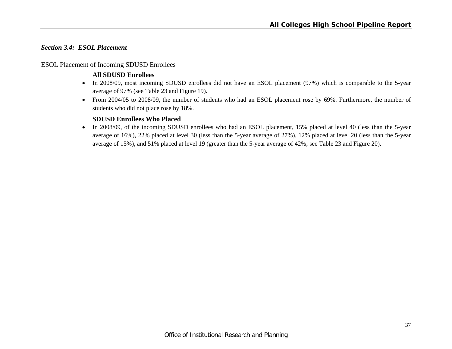# *Section 3.4: ESOL Placement*

#### ESOL Placement of Incoming SDUSD Enrollees

#### **All SDUSD Enrollees**

- In 2008/09, most incoming SDUSD enrollees did not have an ESOL placement (97%) which is comparable to the 5-year average of 97% (see Table 23 and Figure 19).
- From 2004/05 to 2008/09, the number of students who had an ESOL placement rose by 69%. Furthermore, the number of students who did not place rose by 18%.

# **SDUSD Enrollees Who Placed**

• In 2008/09, of the incoming SDUSD enrollees who had an ESOL placement, 15% placed at level 40 (less than the 5-year average of 16%), 22% placed at level 30 (less than the 5-year average of 27%), 12% placed at level 20 (less than the 5-year average of 15%), and 51% placed at level 19 (greater than the 5-year average of 42%; see Table 23 and Figure 20).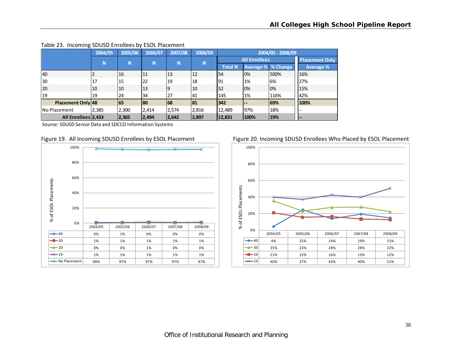|                     | 2004/05 | 2005/06 | 2006/07 | 2007/08 | 2008/09 |                 |                      | 2004/05 - 2008/09 |                       |
|---------------------|---------|---------|---------|---------|---------|-----------------|----------------------|-------------------|-----------------------|
|                     | N       | N       | N       | N       | N       |                 | <b>All Enrollees</b> |                   | <b>Placement Only</b> |
|                     |         |         |         |         |         | <b>Total N</b>  | Average % % Change   |                   | Average %             |
| 40                  |         | 16      | 11      | 113     | 12      | I <sub>54</sub> | 0%                   | 500%              | 16%                   |
| 30                  | 17      | 15      | 22      | 19      | 18      | 191             | 1%                   | 6%                | 27%                   |
| 20                  | 10      | 10      | 13      | 19      | 10      | 152             | 0%                   | 0%                | 15%                   |
| 19                  | 19      | 24      | 34      | 27      | 41      | 145             | 1%                   | 116%              | 42%                   |
| Placement Only 48   |         | 165     | 180     | 68      | 81      | $ 342\rangle$   | $\qquad \qquad -$    | 169%              | 100%                  |
| <b>No Placement</b> | 2,385   | 2,300   | 2,414   | 2,574   | 2,816   | 12,489          | 97%                  | 18%               | --                    |
| All Enrollees 2,433 |         | 2,365   | 2,494   | 2,642   | 2,897   | 12,831          | 100%                 | 19%               | <b>.</b>              |

#### Table 23. Incoming SDUSD Enrollees by ESOL Placement

Source: SDUSD Senior Data and SDCCD Information Systems





#### Figure 19. All Incoming SDUSD Enrollees by ESOL Placement Figure 20. Incoming SDUSD Enrollees Who Placed by ESOL Placement

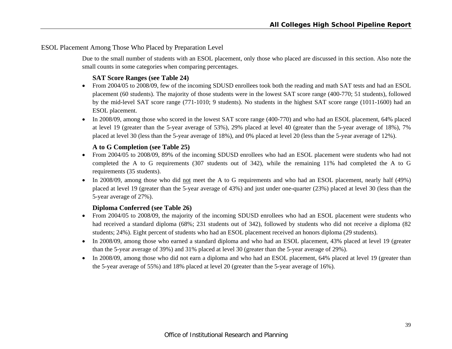# ESOL Placement Among Those Who Placed by Preparation Level

Due to the small number of students with an ESOL placement, only those who placed are discussed in this section. Also note the small counts in some categories when comparing percentages.

# **SAT Score Ranges (see Table 24)**

- From 2004/05 to 2008/09, few of the incoming SDUSD enrollees took both the reading and math SAT tests and had an ESOL placement (60 students). The majority of those students were in the lowest SAT score range (400-770; 51 students), followed by the mid-level SAT score range (771-1010; 9 students). No students in the highest SAT score range (1011-1600) had an ESOL placement.
- In 2008/09, among those who scored in the lowest SAT score range (400-770) and who had an ESOL placement, 64% placed at level 19 (greater than the 5-year average of 53%), 29% placed at level 40 (greater than the 5-year average of 18%), 7% placed at level 30 (less than the 5-year average of 18%), and 0% placed at level 20 (less than the 5-year average of 12%).

#### **A to G Completion (see Table 25)**

- From 2004/05 to 2008/09, 89% of the incoming SDUSD enrollees who had an ESOL placement were students who had not completed the A to G requirements (307 students out of 342), while the remaining 11% had completed the A to G requirements (35 students).
- In 2008/09, among those who did not meet the A to G requirements and who had an ESOL placement, nearly half  $(49%)$ placed at level 19 (greater than the 5-year average of 43%) and just under one-quarter (23%) placed at level 30 (less than the 5-year average of 27%).

# **Diploma Conferred (see Table 26)**

- From 2004/05 to 2008/09, the majority of the incoming SDUSD enrollees who had an ESOL placement were students who had received a standard diploma (68%; 231 students out of 342), followed by students who did not receive a diploma (82 students; 24%). Eight percent of students who had an ESOL placement received an honors diploma (29 students).
- In 2008/09, among those who earned a standard diploma and who had an ESOL placement, 43% placed at level 19 (greater than the 5-year average of 39%) and 31% placed at level 30 (greater than the 5-year average of 29%).
- In 2008/09, among those who did not earn a diploma and who had an ESOL placement, 64% placed at level 19 (greater than the 5-year average of 55%) and 18% placed at level 20 (greater than the 5-year average of 16%).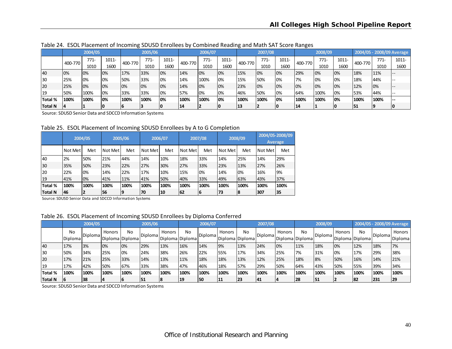|                |         | 2004/05 |       |         | 2005/06 |          |         | 2006/07 |       |         | 2007/08 |       |         | 2008/09 |       |           |        | 2004/05 - 2008/09 Average |
|----------------|---------|---------|-------|---------|---------|----------|---------|---------|-------|---------|---------|-------|---------|---------|-------|-----------|--------|---------------------------|
|                | 400-770 | $771-$  | 1011- | 400-770 | $771 -$ | $1011 -$ | 400-770 | $771-$  | 1011- | 400-770 | $771-$  | 1011- | 400-770 | $771-$  | 1011- | 400-770   | $771-$ | 1011-                     |
|                |         | 1010    | 1600  |         | 1010    | 1600     |         | 1010    | 1600  |         | 1010    | 1600  |         | 1010    | 1600  |           | 1010   | 1600                      |
| 40             | 0%      | 10%     | 10%   | 17%     | 33%     | 0%       | 14%     | 10%     | 0%    | 15%     | 0%      | 0%    | 29%     | 0%      | 0%    | 18%       | 11%    |                           |
| 130            | 25%     | 10%     | 10%   | 50%     | 33%     | 0%       | 14%     | 100%    | 0%    | 15%     | 50%     | 0%    | 7%      | 0%      | 0%    | 18%       | 144%   |                           |
| <b>20</b>      | 25%     | 10%     | 10%   | 10%     | 10%     | 10%      | 14%     | 10%     | 0%    | 23%     | 0%      | 0%    | 0%      | 0%      | 0%    | 12%       | 10%    |                           |
| I19            | 50%     | 100%    | 10%   | 33%     | 33%     | 0%       | 57%     | 10%     | 0%    | 46%     | 50%     | 0%    | 64%     | 100%    | 0%    | 53%       | 44%    |                           |
| <b>Total %</b> | 100%    | 100%    | 10%   | 100%    | 100%    | 10%      | 100%    | 100%    | 0%    | '100%   | 100%    | 0%    | 100%    | '100%   | 0%    | 100%      | 100%   |                           |
| Total N        |         |         | 10    |         |         |          | 14      |         | 10    | 13      |         |       | 14      |         |       | <b>51</b> |        |                           |

Table 24. ESOL Placement of Incoming SDUSD Enrollees by Combined Reading and Math SAT Score Ranges

Source: SDUSD Senior Data and SDCCD Information Systems

Table 25. ESOL Placement of Incoming SDUSD Enrollees by A to G Completion

|                |         | 2004/05 |         | 2005/06 |         | 2006/07 |         | 2007/08 |         | 2008/09 | 2004/05-2008/09 | <b>Average</b> |
|----------------|---------|---------|---------|---------|---------|---------|---------|---------|---------|---------|-----------------|----------------|
|                | Not Met | Met     | Not Met | Met     | Not Met | Met     | Not Met | Met     | Not Met | Met     | Not Met         | Met            |
| 40             | 2%      | 50%     | 21%     | 44%     | 14%     | 10%     | 18%     | 33%     | 14%     | 25%     | 14%             | 29%            |
| 30             | 35%     | 50%     | 23%     | 22%     | 27%     | 30%     | 27%     | 33%     | 23%     | 13%     | 27%             | 26%            |
| 20             | 22%     | 0%      | 14%     | 22%     | 17%     | 10%     | 15%     | 0%      | 14%     | 0%      | 16%             | 9%             |
| 19             | 41%     | 0%      | 41%     | 11%     | 41%     | 50%     | 40%     | 33%     | 49%     | 63%     | 43%             | 37%            |
| Total %        | 100%    | 100%    | 100%    | 100%    | 100%    | 100%    | 100%    | 100%    | 100%    | 100%    | 100%            | 100%           |
| <b>Total N</b> | 46      |         | 56      | 19      | 70      | 10      | 62      | 16      | 73      | 18      | 307             | 35             |

Source: SDUSD Senior Data and SDCCD Information Systems

|  | Table 26. ESOL Placement of Incoming SDUSD Enrollees by Diploma Conferred |  |  |  |  |  |
|--|---------------------------------------------------------------------------|--|--|--|--|--|
|--|---------------------------------------------------------------------------|--|--|--|--|--|

|           |               | 2004/05  |        |                       | 2005/06           |                           |      | 2006/07        |               |                       | 2007/08 |        |                       | 2008/09 |        |                       |                | 2004/05 - 2008/09 Average |
|-----------|---------------|----------|--------|-----------------------|-------------------|---------------------------|------|----------------|---------------|-----------------------|---------|--------|-----------------------|---------|--------|-----------------------|----------------|---------------------------|
|           | No<br>Diploma | IDiploma | Honors | No<br>Diploma Diploma | <b>I</b> Diplomal | Honors<br>Diploma Diploma | No   | <b>Diploma</b> | <b>Honors</b> | No<br>Diploma Diploma | Diploma | Honors | No<br>Diploma Diploma | Diploma | Honors | No<br>Diploma Diploma | <b>Diploma</b> | Honors<br><b>Diploma</b>  |
| 40        | 17%           | 3%       | 0%     | 0%                    | 29%               | 13%                       | 16%  | 14%            | 9%            | 13%                   | 24%     | 0%     | 11%                   | 18%     | 0%     | 12%                   | 18%            | 7%                        |
| 130       | 50%           | 34%      | 25%    | 0%                    | 24%               | 38%                       | 26%  | 22%            | 55%           | 17%                   | 34%     | 25%    | 7%                    | 31%     | 0%     | 17%                   | 29%            | 38%                       |
| <b>20</b> | 17%           | 21%      | 25%    | 33%                   | 14%               | 13%                       | 11%  | 18%            | 18%           | 13%                   | 12%     | 25%    | 18%                   | 8%      | 50%    | 16%                   | 14%            | 21%                       |
|           | 17%           | 42%      | 50%    | 67%                   | 33%               | 38%                       | 47%  | 46%            | 18%           | 57%                   | 29%     | 50%    | 64%                   | 43%     | 50%    | 155%                  | 39%            | 34%                       |
| Total %   | 100%          | 100%     | 100%   | 100%                  | 100%              | 100%                      | 100% | 100%           | 100%          | 100%                  | 100%    | 100%   | 100%                  | 100%    | 100%   | 100%                  | 100%           | 100%                      |
| Total N   | 6             | 38       |        |                       | <b>51</b>         | 18                        | 19   | 50             | 11            | 23                    | 41      |        | 28                    | 51      |        | 182                   | 231            | 29                        |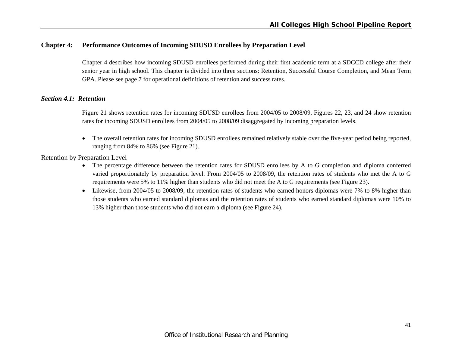# **Chapter 4: Performance Outcomes of Incoming SDUSD Enrollees by Preparation Level**

Chapter 4 describes how incoming SDUSD enrollees performed during their first academic term at a SDCCD college after their senior year in high school. This chapter is divided into three sections: Retention, Successful Course Completion, and Mean Term GPA. Please see page 7 for operational definitions of retention and success rates.

#### *Section 4.1: Retention*

Figure 21 shows retention rates for incoming SDUSD enrollees from 2004/05 to 2008/09. Figures 22, 23, and 24 show retention rates for incoming SDUSD enrollees from 2004/05 to 2008/09 disaggregated by incoming preparation levels.

 $\bullet$  The overall retention rates for incoming SDUSD enrollees remained relatively stable over the five-year period being reported, ranging from 84% to 86% (see Figure 21).

Retention by Preparation Level

- The percentage difference between the retention rates for SDUSD enrollees by A to G completion and diploma conferred varied proportionately by preparation level. From 2004/05 to 2008/09, the retention rates of students who met the A to G requirements were 5% to 11% higher than students who did not meet the A to G requirements (see Figure 23).
- Likewise, from 2004/05 to 2008/09, the retention rates of students who earned honors diplomas were 7% to 8% higher than those students who earned standard diplomas and the retention rates of students who earned standard diplomas were 10% to 13% higher than those students who did not earn a diploma (see Figure 24).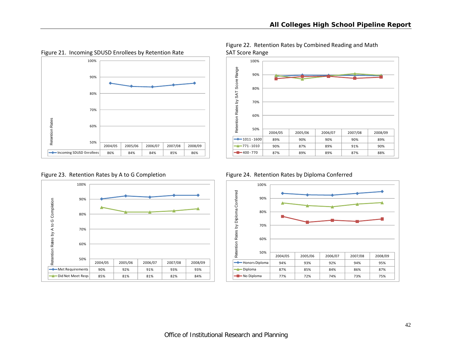

Figure 21. Incoming SDUSD Enrollees by Retention Rate SAT Score Range





Figure 22. Retention Rates by Combined Reading and Math



Figure 23. Retention Rates by A to G Completion Figure 24. Retention Rates by Diploma Conferred

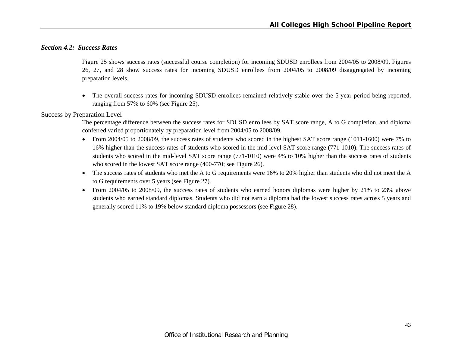#### *Section 4.2: Success Rates*

Figure 25 shows success rates (successful course completion) for incoming SDUSD enrollees from 2004/05 to 2008/09. Figures 26, 27, and 28 show success rates for incoming SDUSD enrollees from 2004/05 to 2008/09 disaggregated by incoming preparation levels.

 The overall success rates for incoming SDUSD enrollees remained relatively stable over the 5-year period being reported, ranging from 57% to 60% (see Figure 25).

#### Success by Preparation Level

The percentage difference between the success rates for SDUSD enrollees by SAT score range, A to G completion, and diploma conferred varied proportionately by preparation level from 2004/05 to 2008/09.

- From 2004/05 to 2008/09, the success rates of students who scored in the highest SAT score range (1011-1600) were 7% to 16% higher than the success rates of students who scored in the mid-level SAT score range (771-1010). The success rates of students who scored in the mid-level SAT score range (771-1010) were 4% to 10% higher than the success rates of students who scored in the lowest SAT score range (400-770; see Figure 26).
- $\bullet$  The success rates of students who met the A to G requirements were 16% to 20% higher than students who did not meet the A to G requirements over 5 years (see Figure 27).
- From 2004/05 to 2008/09, the success rates of students who earned honors diplomas were higher by 21% to 23% above students who earned standard diplomas. Students who did not earn a diploma had the lowest success rates across 5 years and generally scored 11% to 19% below standard diploma possessors (see Figure 28).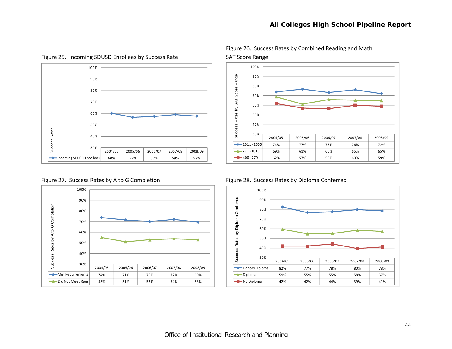

Figure 25. Incoming SDUSD Enrollees by Success Rate SAT Score Range







Figure 26. Success Rates by Combined Reading and Math

Figure 27. Success Rates by A to G Completion Figure 28. Success Rates by Diploma Conferred

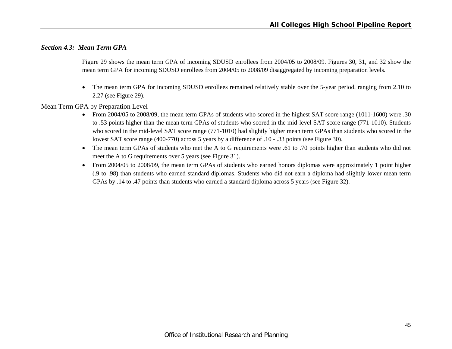# *Section 4.3: Mean Term GPA*

Figure 29 shows the mean term GPA of incoming SDUSD enrollees from 2004/05 to 2008/09. Figures 30, 31, and 32 show the mean term GPA for incoming SDUSD enrollees from 2004/05 to 2008/09 disaggregated by incoming preparation levels.

 $\bullet$  The mean term GPA for incoming SDUSD enrollees remained relatively stable over the 5-year period, ranging from 2.10 to 2.27 (see Figure 29).

Mean Term GPA by Preparation Level

- From 2004/05 to 2008/09, the mean term GPAs of students who scored in the highest SAT score range (1011-1600) were .30 to .53 points higher than the mean term GPAs of students who scored in the mid-level SAT score range (771-1010). Students who scored in the mid-level SAT score range (771-1010) had slightly higher mean term GPAs than students who scored in the lowest SAT score range (400-770) across 5 years by a difference of .10 - .33 points (see Figure 30).
- The mean term GPAs of students who met the A to G requirements were .61 to .70 points higher than students who did not meet the A to G requirements over 5 years (see Figure 31).
- From 2004/05 to 2008/09, the mean term GPAs of students who earned honors diplomas were approximately 1 point higher (.9 to .98) than students who earned standard diplomas. Students who did not earn a diploma had slightly lower mean term GPAs by .14 to .47 points than students who earned a standard diploma across 5 years (see Figure 32).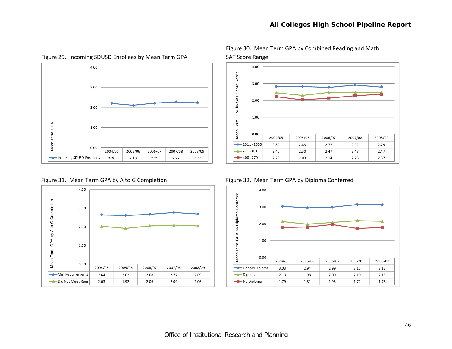

Figure 29. Incoming SDUSD Enrollees by Mean Term GPA SAT Score Range







Figure 30. Mean Term GPA by Combined Reading and Math



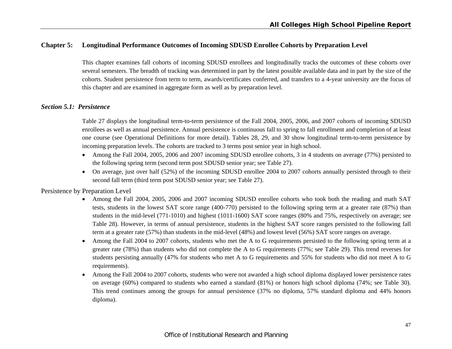# **Chapter 5: Longitudinal Performance Outcomes of Incoming SDUSD Enrollee Cohorts by Preparation Level**

This chapter examines fall cohorts of incoming SDUSD enrollees and longitudinally tracks the outcomes of these cohorts over several semesters. The breadth of tracking was determined in part by the latest possible available data and in part by the size of the cohorts. Student persistence from term to term, awards/certificates conferred, and transfers to a 4-year university are the focus of this chapter and are examined in aggregate form as well as by preparation level.

#### *Section 5.1: Persistence*

Table 27 displays the longitudinal term-to-term persistence of the Fall 2004, 2005, 2006, and 2007 cohorts of incoming SDUSD enrollees as well as annual persistence. Annual persistence is continuous fall to spring to fall enrollment and completion of at least one course (see Operational Definitions for more detail). Tables 28, 29, and 30 show longitudinal term-to-term persistence by incoming preparation levels. The cohorts are tracked to 3 terms post senior year in high school.

- Among the Fall 2004, 2005, 2006 and 2007 incoming SDUSD enrollee cohorts, 3 in 4 students on average (77%) persisted to the following spring term (second term post SDUSD senior year; see Table 27).
- On average, just over half (52%) of the incoming SDUSD enrollee 2004 to 2007 cohorts annually persisted through to their second fall term (third term post SDUSD senior year; see Table 27).

#### Persistence by Preparation Level

- 6 Among the Fall 2004, 2005, 2006 and 2007 incoming SDUSD enrollee cohorts who took both the reading and math SAT tests, students in the lowest SAT score range (400-770) persisted to the following spring term at a greater rate (87%) than students in the mid-level (771-1010) and highest (1011-1600) SAT score ranges (80% and 75%, respectively on average; see Table 28). However, in terms of annual persistence, students in the highest SAT score ranges persisted to the following fall term at a greater rate (57%) than students in the mid-level (48%) and lowest level (56%) SAT score ranges on average.
- 0 Among the Fall 2004 to 2007 cohorts, students who met the A to G requirements persisted to the following spring term at a greater rate (78%) than students who did not complete the A to G requirements (77%; see Table 29). This trend reverses for students persisting annually (47% for students who met A to G requirements and 55% for students who did not meet A to G requirements).
- 0 Among the Fall 2004 to 2007 cohorts, students who were not awarded a high school diploma displayed lower persistence rates on average (60%) compared to students who earned a standard (81%) or honors high school diploma (74%; see Table 30). This trend continues among the groups for annual persistence (37% no diploma, 57% standard diploma and 44% honors diploma).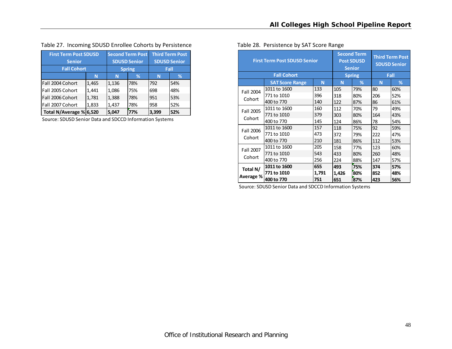| Table 27. Incoming SDUSD Enrollee Cohorts by Persistence | Table 28. Persistence by SAT Score Range |
|----------------------------------------------------------|------------------------------------------|
|----------------------------------------------------------|------------------------------------------|

| <b>First Term Post SDUSD</b> |       | <b>Second Term Post</b> | <b>Third Term Post</b> |       |     |
|------------------------------|-------|-------------------------|------------------------|-------|-----|
| <b>Senior</b>                |       | <b>SDUSD Senior</b>     | <b>SDUSD Senior</b>    |       |     |
| <b>Fall Cohort</b>           |       | Fall<br><b>Spring</b>   |                        |       |     |
|                              | N     | N                       | ℅                      | N     | %   |
| Fall 2004 Cohort             | 1,465 | 1,136                   | 78%                    | 792   | 54% |
| Fall 2005 Cohort             | 1,441 | 1,086                   | 75%                    | 698   | 48% |
| Fall 2006 Cohort             | 1,781 | 1,388                   | 78%                    | 951   | 53% |
| Fall 2007 Cohort             | 1,833 | 1,437                   | 78%                    | 958   | 52% |
| Total N/Average % 6,520      |       | 5,047                   | 77%                    | 3.399 | 52% |

Source: SDUSD Senior Data and SDCCD Information Systems

|  | able 28. Persistence by SAT Score Range |  |
|--|-----------------------------------------|--|
|  |                                         |  |

|           | <b>First Term Post SDUSD Senior</b> |       |       | <b>Second Term</b><br><b>Post SDUSD</b><br><b>Senior</b> | <b>Third Term Post</b><br><b>SDUSD Senior</b> |     |  |
|-----------|-------------------------------------|-------|-------|----------------------------------------------------------|-----------------------------------------------|-----|--|
|           | <b>Fall Cohort</b>                  |       |       | <b>Spring</b>                                            | Fall                                          |     |  |
|           | <b>SAT Score Range</b>              | N     | N     | %                                                        | N                                             | %   |  |
| Fall 2004 | 1011 to 1600                        | 133   | 105   | 79%                                                      | 80                                            | 60% |  |
|           | 771 to 1010                         | 396   | 318   | 80%                                                      | 206                                           | 52% |  |
| Cohort    | 400 to 770                          | 140   | 122   | 87%                                                      | 86                                            | 61% |  |
| Fall 2005 | 1011 to 1600                        | 160   | 112   | 70%                                                      | 79                                            | 49% |  |
|           | 771 to 1010                         | 379   | 303   | 80%                                                      | 164                                           | 43% |  |
| Cohort    | 400 to 770                          | 145   | 124   | 86%                                                      | 78                                            | 54% |  |
| Fall 2006 | 1011 to 1600                        | 157   | 118   | 75%                                                      | 92                                            | 59% |  |
|           | 771 to 1010                         | 473   | 372   | 79%                                                      | 222                                           | 47% |  |
| Cohort    | 400 to 770                          | 210   | 181   | 86%                                                      | 112                                           | 53% |  |
| Fall 2007 | 1011 to 1600                        | 205   | 158   | 77%                                                      | 123                                           | 60% |  |
|           | 771 to 1010                         | 543   | 433   | 80%                                                      | 260                                           | 48% |  |
| Cohort    | 400 to 770                          | 256   | 224   | 88%                                                      | 147                                           | 57% |  |
| Total N/  | 1011 to 1600                        | 655   | 493   | 75%                                                      | 374                                           | 57% |  |
|           | 771 to 1010                         | 1,791 | 1,426 | 80%                                                      | 852                                           | 48% |  |
| Average % | 400 to 770                          | 751   | 651   | 87%                                                      | 423                                           | 56% |  |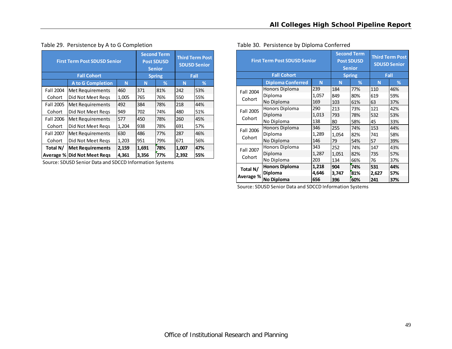|                    | <b>First Term Post SDUSD Senior</b> |       |       | <b>Second Term</b><br><b>Post SDUSD</b><br><b>Senior</b> |       | <b>Third Term Post</b><br><b>SDUSD Senior</b> |  |
|--------------------|-------------------------------------|-------|-------|----------------------------------------------------------|-------|-----------------------------------------------|--|
| <b>Fall Cohort</b> |                                     |       |       | <b>Spring</b>                                            |       | Fall                                          |  |
|                    | <b>A to G Completion</b>            | N     | N     | %                                                        | N     | %                                             |  |
| Fall 2004          | Met Requirements                    | 460   | 371   | 81%                                                      | 242   | 53%                                           |  |
| Cohort             | Did Not Meet Regs                   | 1,005 | 765   | 76%                                                      | 550   | 55%                                           |  |
| Fall 2005          | Met Requirements                    | 492   | 384   | 78%                                                      | 218   | 44%                                           |  |
| Cohort             | Did Not Meet Regs                   | 949   | 702   | 74%                                                      | 480   | 51%                                           |  |
| Fall 2006          | Met Requirements                    | 577   | 450   | 78%                                                      | 260   | 45%                                           |  |
| Cohort             | Did Not Meet Regs                   | 1,204 | 938   | 78%                                                      | 691   | 57%                                           |  |
| Fall 2007          | Met Requirements                    | 630   | 486   | 77%                                                      | 287   | 46%                                           |  |
| Cohort             | Did Not Meet Regs                   | 1,203 | 951   | 79%                                                      | 671   | 56%                                           |  |
| Total N/           | <b>Met Requirements</b>             | 2,159 | 1,691 | 78%                                                      | 1,007 | 47%                                           |  |
|                    | Average % Did Not Meet Reqs         | 4,361 | 3,356 | 77%                                                      | 2,392 | 55%                                           |  |

# Table 29. Persistence by A to G Completion

Source: SDUSD Senior Data and SDCCD Information Systems

|           | <b>First Term Post SDUSD Senior</b><br><b>Fall Cohort</b> |       |               |     | <b>Third Term Post</b><br><b>SDUSD Senior</b> |      |  |
|-----------|-----------------------------------------------------------|-------|---------------|-----|-----------------------------------------------|------|--|
|           |                                                           |       | <b>Spring</b> |     |                                               | Fall |  |
|           | <b>Diploma Conferred</b>                                  | N     | N             | %   | N                                             | %    |  |
| Fall 2004 | Honors Diploma                                            | 239   | 184           | 77% | 110                                           | 46%  |  |
|           | Diploma                                                   | 1,057 | 849           | 80% | 619                                           | 59%  |  |
| Cohort    | No Diploma                                                | 169   | 103           | 61% | 63                                            | 37%  |  |
| Fall 2005 | Honors Diploma                                            | 290   | 213           | 73% | 121                                           | 42%  |  |
|           | Diploma                                                   | 1,013 | 793           | 78% | 532                                           | 53%  |  |
| Cohort    | No Diploma                                                | 138   | 80            | 58% | 45                                            | 33%  |  |
| Fall 2006 | <b>Honors Diploma</b>                                     | 346   | 255           | 74% | 153                                           | 44%  |  |
|           | Diploma                                                   | 1,289 | 1,054         | 82% | 741                                           | 58%  |  |
| Cohort    | No Diploma                                                | 146   | 79            | 54% | 57                                            | 39%  |  |
| Fall 2007 | Honors Diploma                                            | 343   | 252           | 74% | 147                                           | 43%  |  |
|           | Diploma                                                   | 1,287 | 1,051         | 82% | 735                                           | 57%  |  |
| Cohort    | No Diploma                                                | 203   | 134           | 66% | 76                                            | 37%  |  |
| Total N/  | <b>Honors Diploma</b>                                     | 1,218 | 904           | 74% | 531                                           | 44%  |  |
|           | Diploma                                                   | 4,646 | 3,747         | 81% | 2,627                                         | 57%  |  |
| Average % | No Diploma                                                | 656   | 396           | 60% | 241                                           | 37%  |  |

#### Table 30. Persistence by Diploma Conferred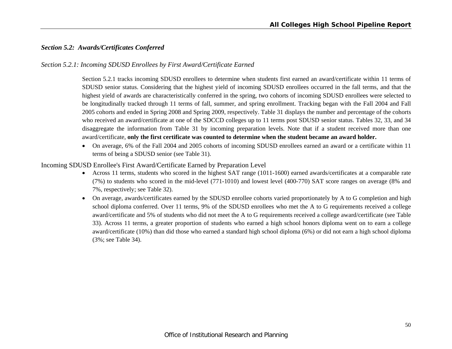# *Section 5.2: Awards/Certificates Conferred*

#### *Section 5.2.1: Incoming SDUSD Enrollees by First Award/Certificate Earned*

Section 5.2.1 tracks incoming SDUSD enrollees to determine when students first earned an award/certificate within 11 terms of SDUSD senior status. Considering that the highest yield of incoming SDUSD enrollees occurred in the fall terms, and that the highest yield of awards are characteristically conferred in the spring, two cohorts of incoming SDUSD enrollees were selected to be longitudinally tracked through 11 terms of fall, summer, and spring enrollment. Tracking began with the Fall 2004 and Fall 2005 cohorts and ended in Spring 2008 and Spring 2009, respectively. Table 31 displays the number and percentage of the cohorts who received an award/certificate at one of the SDCCD colleges up to 11 terms post SDUSD senior status. Tables 32, 33, and 34 disaggregate the information from Table 31 by incoming preparation levels. Note that if a student received more than one award/certificate, **only the first certificate was counted to determine when the student became an award holder.**

 On average, 6% of the Fall 2004 and 2005 cohorts of incoming SDUSD enrollees earned an award or a certificate within 11 terms of being a SDUSD senior (see Table 31).

#### Incoming SDUSD Enrollee's First Award/Certificate Earned by Preparation Level

- Across 11 terms, students who scored in the highest SAT range (1011-1600) earned awards/certificates at a comparable rate (7%) to students who scored in the mid-level (771-1010) and lowest level (400-770) SAT score ranges on average (8% and 7%, respectively; see Table 32).
- On average, awards/certificates earned by the SDUSD enrollee cohorts varied proportionately by A to G completion and high school diploma conferred. Over 11 terms, 9% of the SDUSD enrollees who met the A to G requirements received a college award/certificate and 5% of students who did not meet the A to G requirements received a college award/certificate (see Table 33). Across 11 terms, a greater proportion of students who earned a high school honors diploma went on to earn a college award/certificate (10%) than did those who earned a standard high school diploma (6%) or did not earn a high school diploma (3%; see Table 34).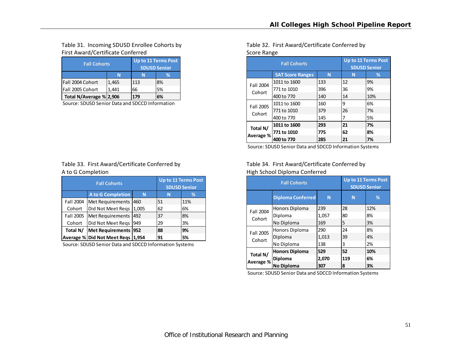# Table 31. Incoming SDUSD Enrollee Cohorts by First Award/Certificate Conferred **Score Range Score Range** Score Range

| <b>Fall Cohorts</b>     | Up to 11 Terms Post<br><b>SDUSD Senior</b> |     |    |  |
|-------------------------|--------------------------------------------|-----|----|--|
|                         |                                            |     | %  |  |
| Fall 2004 Cohort        | 1,465                                      | 113 | 8% |  |
| Fall 2005 Cohort        | 1.441                                      | 66  | 5% |  |
| Total N/Average % 2,906 |                                            | 179 | 6% |  |

Source: SDUSD Senior Data and SDCCD Information

#### Table 33. First Award/Certificate Conferred by A to G

|           | <b>Fall Cohorts</b>               | <b>Up to 11 Terms Post</b><br><b>SDUSD Senior</b> |    |     |
|-----------|-----------------------------------|---------------------------------------------------|----|-----|
|           | <b>A to G Completion</b><br>N     |                                                   | N  | ℅   |
| Fall 2004 | Met Requirements                  | 460                                               | 51 | 11% |
| Cohort    | Did Not Meet Regs                 | 1,005                                             | 62 | 6%  |
| Fall 2005 | Met Requirements                  | 492                                               | 37 | 8%  |
| Cohort    | Did Not Meet Regs                 | 949                                               | 29 | 3%  |
| Total N/  | <b>Met Requirements</b>           | 952                                               | 88 | 9%  |
|           | Average % Did Not Meet Regs 1,954 |                                                   | 91 | 5%  |

Source: SDUSD Senior Data and SDCCD Information Systems

Table 32. First Award/Certificate Conferred by

|           | <b>Fall Cohorts</b>     |     | <b>Up to 11 Terms Post</b><br><b>SDUSD Senior</b> |     |  |
|-----------|-------------------------|-----|---------------------------------------------------|-----|--|
|           | <b>SAT Score Ranges</b> | N   | N                                                 | %   |  |
| Fall 2004 | 1011 to 1600            | 133 | 12                                                | 9%  |  |
| Cohort    | 771 to 1010             | 396 | 36                                                | 9%  |  |
|           | 400 to 770              | 140 | 14                                                | 10% |  |
| Fall 2005 | 1011 to 1600            | 160 | ٩                                                 | 6%  |  |
| Cohort    | 771 to 1010             | 379 | 26                                                | 7%  |  |
|           | 400 to 770              | 145 | 7                                                 | 5%  |  |
| Total N/  | 1011 to 1600            | 293 | 21                                                | 7%  |  |
|           | 771 to 1010             | 775 | 62                                                | 8%  |  |
| Average % | 400 to 770              | 285 | 21                                                | 7%  |  |

Source: SDUSD Senior Data and SDCCD Information Systems

# Table 34. First Award/Certificate Conferred by High School Diploma Conferred

|                    | <b>Fall Cohorts</b>      | <b>Up to 11 Terms Post</b><br><b>SDUSD Senior</b> |     |     |
|--------------------|--------------------------|---------------------------------------------------|-----|-----|
|                    | <b>Diploma Conferred</b> | N                                                 | N   | %   |
| Fall 2004          | Honors Diploma           | 239                                               | 28  | 12% |
| Cohort             | Diploma                  | 1,057                                             | 80  | 8%  |
|                    | No Diploma               | 169                                               | 5   | 3%  |
| Fall 2005          | Honors Diploma           | 290                                               | 24  | 8%  |
| Cohort             | Diploma                  | 1,013                                             | 39  | 4%  |
|                    | No Diploma               | 138                                               | 3   | 2%  |
| Total N/           | <b>Honors Diploma</b>    | 529                                               | 52  | 10% |
| 'Average % Diploma |                          | 2,070                                             | 119 | 6%  |
|                    | <b>No Diploma</b>        | 307                                               | 8   | 3%  |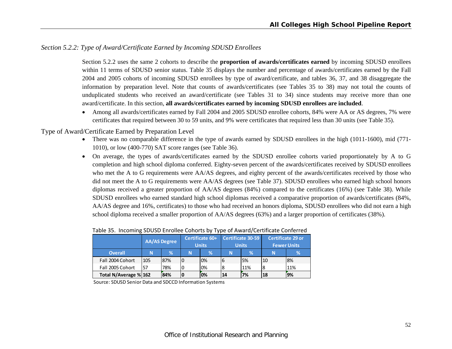#### *Section 5.2.2: Type of Award/Certificate Earned by Incoming SDUSD Enrollees*

Section 5.2.2 uses the same 2 cohorts to describe the **proportion of awards/certificates earned** by incoming SDUSD enrollees within 11 terms of SDUSD senior status. Table 35 displays the number and percentage of awards/certificates earned by the Fall 2004 and 2005 cohorts of incoming SDUSD enrollees by type of award/certificate, and tables 36, 37, and 38 disaggregate the information by preparation level. Note that counts of awards/certificates (see Tables 35 to 38) may not total the counts of unduplicated students who received an award/certificate (see Tables 31 to 34) since students may receive more than one award/certificate. In this section, **all awards/certificates earned by incoming SDUSD enrollees are included**.

 Among all awards/certificates earned by Fall 2004 and 2005 SDUSD enrollee cohorts, 84% were AA or AS degrees, 7% were certificates that required between 30 to 59 units, and 9% were certificates that required less than 30 units (see Table 35).

Type of Award/Certificate Earned by Preparation Level

- There was no comparable difference in the type of awards earned by SDUSD enrollees in the high (1011-1600), mid (771- 1010), or low (400-770) SAT score ranges (see Table 36).
- On average, the types of awards/certificates earned by the SDUSD enrollee cohorts varied proportionately by A to G completion and high school diploma conferred. Eighty-seven percent of the awards/certificates received by SDUSD enrollees who met the A to G requirements were AA/AS degrees, and eighty percent of the awards/certificates received by those who did not meet the A to G requirements were AA/AS degrees (see Table 37). SDUSD enrollees who earned high school honors diplomas received a greater proportion of AA/AS degrees (84%) compared to the certificates (16%) (see Table 38). While SDUSD enrollees who earned standard high school diplomas received a comparative proportion of awards/certificates (84%, AA/AS degree and 16%, certificates) to those who had received an honors diploma, SDUSD enrollees who did not earn a high school diploma received a smaller proportion of AA/AS degrees (63%) and a larger proportion of certificates (38%).

|                       | <b>AA/AS Degree</b> |     | Certificate 60+<br><b>Units</b> |      | Certificate 30-59<br><b>Units</b> |     | <b>Certificate 29 or</b><br><b>Fewer Units</b> |     |
|-----------------------|---------------------|-----|---------------------------------|------|-----------------------------------|-----|------------------------------------------------|-----|
| <b>Overall</b>        | N                   | %   | N                               | $\%$ | N                                 | %   | N                                              | %   |
| Fall 2004 Cohort      | 105                 | 87% |                                 | 0%   | 16                                | 5%  | 10                                             | 8%  |
| Fall 2005 Cohort      | 57                  | 78% |                                 | 0%   | 8                                 | 11% | 8                                              | 11% |
| Total N/Average % 162 |                     | 84% | 10                              | 0%   | 14                                | 7%  | 18                                             | 19% |

#### Table 35. Incoming SDUSD Enrollee Cohorts by Type of Award/Certificate Conferred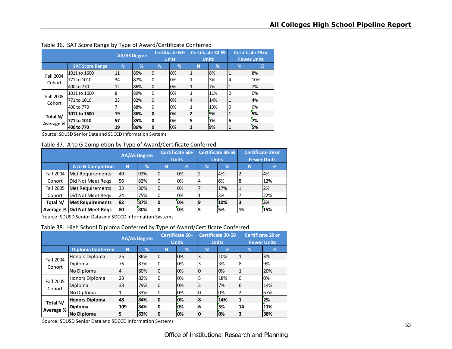|           |                        | <b>AA/AS Degree</b> |               | Certificate 60+<br><b>Units</b> |      | <b>Certificate 30-59</b><br><b>Units</b> |     | <b>Certificate 29 or</b><br><b>Fewer Units</b> |     |
|-----------|------------------------|---------------------|---------------|---------------------------------|------|------------------------------------------|-----|------------------------------------------------|-----|
|           | <b>SAT Score Range</b> | N                   | $\mathcal{A}$ | N                               | $\%$ | N                                        | %   | N                                              | %   |
| Fall 2004 | 1011 to 1600           | 11                  | 85%           | 0                               | 0%   |                                          | 8%  | 1                                              | 8%  |
| Cohort    | 771 to 1010            | 34                  | 87%           | 0                               | 0%   |                                          | 3%  | 4                                              | 10% |
|           | 400 to 770             | 12                  | 86%           | 0                               | 0%   | 1                                        | 7%  | 1                                              | 7%  |
| Fall 2005 | 1011 to 1600           | 8                   | 89%           | 0                               | 0%   |                                          | 11% | 0                                              | 0%  |
| Cohort    | 771 to 1010            | 23                  | 82%           | 0                               | 0%   | 4                                        | 14% | 1                                              | 4%  |
|           | 400 to 770             |                     | 88%           | 0                               | 0%   | 1                                        | 13% | 0                                              | 0%  |
| Total N/  | 1011 to 1600           | 19                  | 86%           | 0                               | 0%   | $\overline{2}$                           | 9%  |                                                | 5%  |
| Average % | 771 to 1010            | 57                  | 85%           | 0                               | 0%   | 5                                        | 7%  | 5                                              | 7%  |
|           | 400 to 770             | 19                  | 86%           | 0                               | 10%  | 2                                        | 9%  |                                                | 5%  |

Table 36. SAT Score Range by Type of Award/Certificate Conferred

Source: SDUSD Senior Data and SDCCD Information Systems

Table 37. A to G Completion by Type of Award/Certificate Conferred

|           |                               | <b>AA/AS Degree</b> |     | Certificate 60+ |    | <b>Certificate 30-59</b> |     | <b>Certificate 29 or</b> |     |
|-----------|-------------------------------|---------------------|-----|-----------------|----|--------------------------|-----|--------------------------|-----|
|           |                               |                     |     | <b>Units</b>    |    | <b>Units</b>             |     | <b>Fewer Units</b>       |     |
|           | <b>A to G Completion</b>      | N                   | %   | N               | %  | N                        | %'  | N                        | l%' |
| Fall 2004 | <b>Met Requirements</b>       | 49                  | 92% | 0               | 0% | 2                        | 4%  |                          | 4%  |
| Cohort    | Did Not Meet Regs             | 56                  | 82% | 0               | 0% | 4                        | 6%  | 8                        | 12% |
| Fall 2005 | Met Requirements              | 33                  | 80% | 0               | 0% |                          | 17% |                          | 2%  |
| Cohort    | Did Not Meet Regs             | 24                  | 75% | 0               | 0% |                          | 3%  |                          | 22% |
| Total N/  | <b>Met Requirements</b>       | 82                  | 87% | 0               | 0% | 19                       | 10% | 3                        | 3%  |
|           | Average %   Did Not Meet Regs | 80                  | 80% | 0               | 0% | 5                        | 5%  | 15                       | 15% |

Source: SDUSD Senior Data and SDCCD Information Systems

Table 38. High School Diploma Conferred by Type of Award/Certificate Conferred

|                     |                          | <b>AA/AS Degree</b> |               | Certificate 60+<br><b>Units</b> |               | <b>Certificate 30-59</b><br><b>Units</b> |     | <b>Certificate 29 or</b><br><b>Fewer Units</b> |     |
|---------------------|--------------------------|---------------------|---------------|---------------------------------|---------------|------------------------------------------|-----|------------------------------------------------|-----|
|                     | <b>Diploma Conferred</b> | N                   | $\frac{9}{6}$ | N                               | $\frac{1}{2}$ | N                                        | %   | N                                              | %   |
| Fall 2004<br>Cohort | Honors Diploma           | 25                  | 86%           | 0                               | 0%            | 3                                        | 10% |                                                | 3%  |
|                     | Diploma                  | 76                  | 87%           | 0                               | 0%            | 3                                        | 3%  | 8                                              | 9%  |
|                     | No Diploma               | 4                   | 80%           | 0                               | 0%            | 0                                        | 0%  |                                                | 20% |
| Fall 2005           | Honors Diploma           | 23                  | 82%           | 0                               | 0%            | 5                                        | 18% | 0                                              | 0%  |
| Cohort              | Diploma                  | 33                  | 79%           | 0                               | 0%            | 3                                        | 7%  | 6                                              | 14% |
|                     | No Diploma               | 1                   | 33%           | 0                               | 0%            | 0                                        | 0%  | 2                                              | 67% |
| Total N/            | <b>Honors Diploma</b>    | 48                  | 84%           | 0                               | 0%            | 8                                        | 14% |                                                | 2%  |
|                     | <b>Diploma</b>           | 109                 | 84%           | 0                               | 0%            | 6                                        | 5%  | 14                                             | 11% |
| Average %           | <b>No Diploma</b>        | 5                   | 63%           | 0                               | 0%            | 0                                        | 0%  | 3                                              | 38% |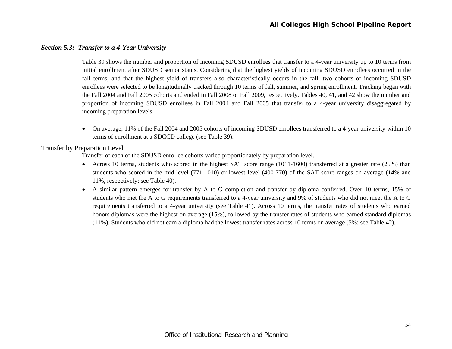#### *Section 5.3: Transfer to a 4-Year University*

Table 39 shows the number and proportion of incoming SDUSD enrollees that transfer to a 4-year university up to 10 terms from initial enrollment after SDUSD senior status. Considering that the highest yields of incoming SDUSD enrollees occurred in the fall terms, and that the highest yield of transfers also characteristically occurs in the fall, two cohorts of incoming SDUSD enrollees were selected to be longitudinally tracked through 10 terms of fall, summer, and spring enrollment. Tracking began with the Fall 2004 and Fall 2005 cohorts and ended in Fall 2008 or Fall 2009, respectively. Tables 40, 41, and 42 show the number and proportion of incoming SDUSD enrollees in Fall 2004 and Fall 2005 that transfer to a 4-year university disaggregated by incoming preparation levels.

 $\bullet$  On average, 11% of the Fall 2004 and 2005 cohorts of incoming SDUSD enrollees transferred to a 4-year university within 10 terms of enrollment at a SDCCD college (see Table 39).

Transfer by Preparation Level

Transfer of each of the SDUSD enrollee cohorts varied proportionately by preparation level.

- Across 10 terms, students who scored in the highest SAT score range (1011-1600) transferred at a greater rate (25%) than students who scored in the mid-level (771-1010) or lowest level (400-770) of the SAT score ranges on average (14% and 11%, respectively; see Table 40).
- A similar pattern emerges for transfer by A to G completion and transfer by diploma conferred. Over 10 terms, 15% of students who met the A to G requirements transferred to a 4-year university and 9% of students who did not meet the A to G requirements transferred to a 4-year university (see Table 41). Across 10 terms, the transfer rates of students who earned honors diplomas were the highest on average (15%), followed by the transfer rates of students who earned standard diplomas (11%). Students who did not earn a diploma had the lowest transfer rates across 10 terms on average (5%; see Table 42).